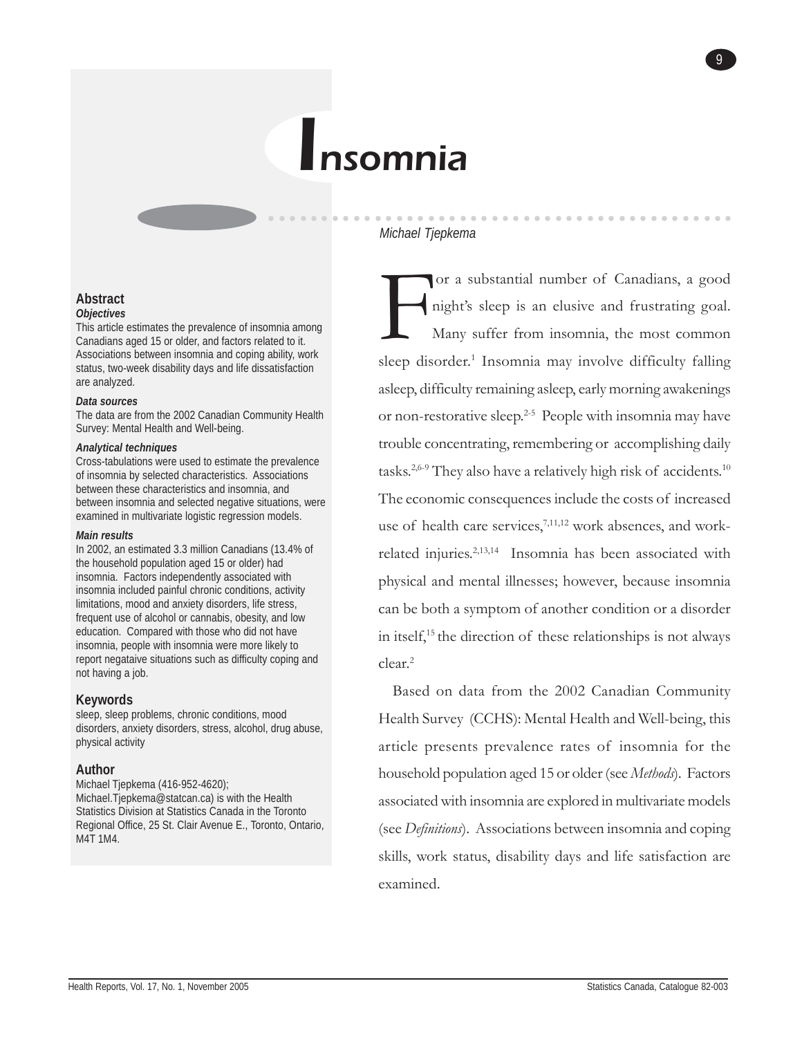# Insomnia

#### *Michael Tjepkema*

○○○○○○○○○○○○ ○○○○○○○○○○○○○○○○○○○○○○○○○○○○○○○○

# or a substantial number of Canadians, a good night's sleep is an elusive and frustrating goal. Many suffer from insomnia, the most common sleep disorder.<sup>1</sup> Insomnia may involve difficulty falling asleep, difficulty remaining asleep, early morning awakenings or non-restorative sleep.<sup>2-5</sup> People with insomnia may have trouble concentrating, remembering or accomplishing daily tasks.2,6-9 They also have a relatively high risk of accidents.10 The economic consequences include the costs of increased use of health care services,<sup>7,11,12</sup> work absences, and workrelated injuries.2,13,14 Insomnia has been associated with physical and mental illnesses; however, because insomnia can be both a symptom of another condition or a disorder in itself,15 the direction of these relationships is not always clear.2

9

Based on data from the 2002 Canadian Community Health Survey (CCHS): Mental Health and Well-being, this article presents prevalence rates of insomnia for the household population aged 15 or older (see *Methods*). Factors associated with insomnia are explored in multivariate models (see *Definitions*). Associations between insomnia and coping skills, work status, disability days and life satisfaction are examined.

#### **Abstract** *Objectives*

This article estimates the prevalence of insomnia among Canadians aged 15 or older, and factors related to it. Associations between insomnia and coping ability, work status, two-week disability days and life dissatisfaction are analyzed.

#### *Data sources*

The data are from the 2002 Canadian Community Health Survey: Mental Health and Well-being.

#### *Analytical techniques*

Cross-tabulations were used to estimate the prevalence of insomnia by selected characteristics. Associations between these characteristics and insomnia, and between insomnia and selected negative situations, were examined in multivariate logistic regression models.

#### *Main results*

In 2002, an estimated 3.3 million Canadians (13.4% of the household population aged 15 or older) had insomnia. Factors independently associated with insomnia included painful chronic conditions, activity limitations, mood and anxiety disorders, life stress, frequent use of alcohol or cannabis, obesity, and low education. Compared with those who did not have insomnia, people with insomnia were more likely to report negataive situations such as difficulty coping and not having a job.

#### **Keywords**

sleep, sleep problems, chronic conditions, mood disorders, anxiety disorders, stress, alcohol, drug abuse, physical activity

#### **Author**

Michael Tjepkema (416-952-4620); Michael.Tjepkema@statcan.ca) is with the Health Statistics Division at Statistics Canada in the Toronto Regional Office, 25 St. Clair Avenue E., Toronto, Ontario, M4T 1M4.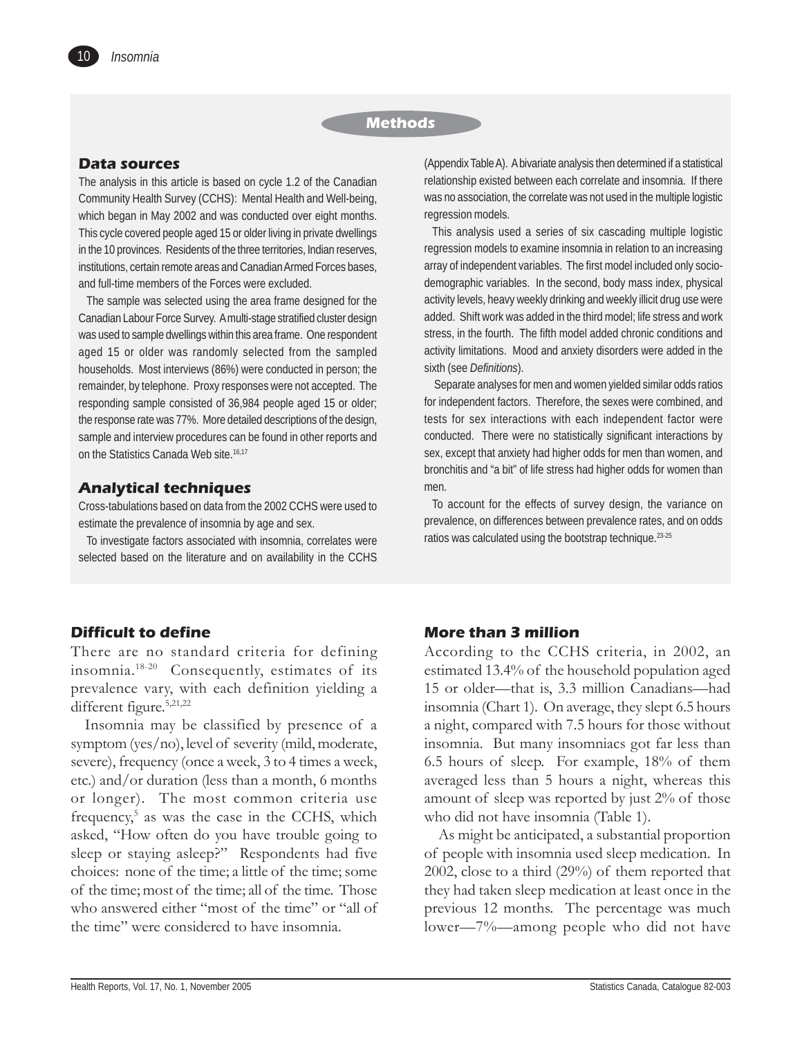#### **Methods**

#### **Data sources**

The analysis in this article is based on cycle 1.2 of the Canadian Community Health Survey (CCHS): Mental Health and Well-being, which began in May 2002 and was conducted over eight months. This cycle covered people aged 15 or older living in private dwellings in the 10 provinces. Residents of the three territories, Indian reserves, institutions, certain remote areas and Canadian Armed Forces bases, and full-time members of the Forces were excluded.

The sample was selected using the area frame designed for the Canadian Labour Force Survey. A multi-stage stratified cluster design was used to sample dwellings within this area frame. One respondent aged 15 or older was randomly selected from the sampled households. Most interviews (86%) were conducted in person; the remainder, by telephone. Proxy responses were not accepted. The responding sample consisted of 36,984 people aged 15 or older; the response rate was 77%. More detailed descriptions of the design, sample and interview procedures can be found in other reports and on the Statistics Canada Web site.<sup>16,17</sup>

# **Analytical techniques**

Cross-tabulations based on data from the 2002 CCHS were used to estimate the prevalence of insomnia by age and sex.

To investigate factors associated with insomnia, correlates were selected based on the literature and on availability in the CCHS (Appendix Table A). A bivariate analysis then determined if a statistical relationship existed between each correlate and insomnia. If there was no association, the correlate was not used in the multiple logistic regression models.

This analysis used a series of six cascading multiple logistic regression models to examine insomnia in relation to an increasing array of independent variables. The first model included only sociodemographic variables. In the second, body mass index, physical activity levels, heavy weekly drinking and weekly illicit drug use were added. Shift work was added in the third model; life stress and work stress, in the fourth. The fifth model added chronic conditions and activity limitations. Mood and anxiety disorders were added in the sixth (see *Definitions*).

 Separate analyses for men and women yielded similar odds ratios for independent factors. Therefore, the sexes were combined, and tests for sex interactions with each independent factor were conducted. There were no statistically significant interactions by sex, except that anxiety had higher odds for men than women, and bronchitis and "a bit" of life stress had higher odds for women than men.

To account for the effects of survey design, the variance on prevalence, on differences between prevalence rates, and on odds ratios was calculated using the bootstrap technique.<sup>23-25</sup>

# **Difficult to define**

There are no standard criteria for defining insomnia.18-20 Consequently, estimates of its prevalence vary, with each definition yielding a different figure.<sup>5,21,22</sup>

Insomnia may be classified by presence of a symptom (yes/no), level of severity (mild, moderate, severe), frequency (once a week, 3 to 4 times a week, etc.) and/or duration (less than a month, 6 months or longer). The most common criteria use frequency,<sup>5</sup> as was the case in the CCHS, which asked, "How often do you have trouble going to sleep or staying asleep?" Respondents had five choices: none of the time; a little of the time; some of the time; most of the time; all of the time. Those who answered either "most of the time" or "all of the time" were considered to have insomnia.

#### **More than 3 million**

According to the CCHS criteria, in 2002, an estimated 13.4% of the household population aged 15 or older—that is, 3.3 million Canadians—had insomnia (Chart 1). On average, they slept 6.5 hours a night, compared with 7.5 hours for those without insomnia. But many insomniacs got far less than 6.5 hours of sleep. For example, 18% of them averaged less than 5 hours a night, whereas this amount of sleep was reported by just 2% of those who did not have insomnia (Table 1).

As might be anticipated, a substantial proportion of people with insomnia used sleep medication. In 2002, close to a third (29%) of them reported that they had taken sleep medication at least once in the previous 12 months. The percentage was much lower—7%—among people who did not have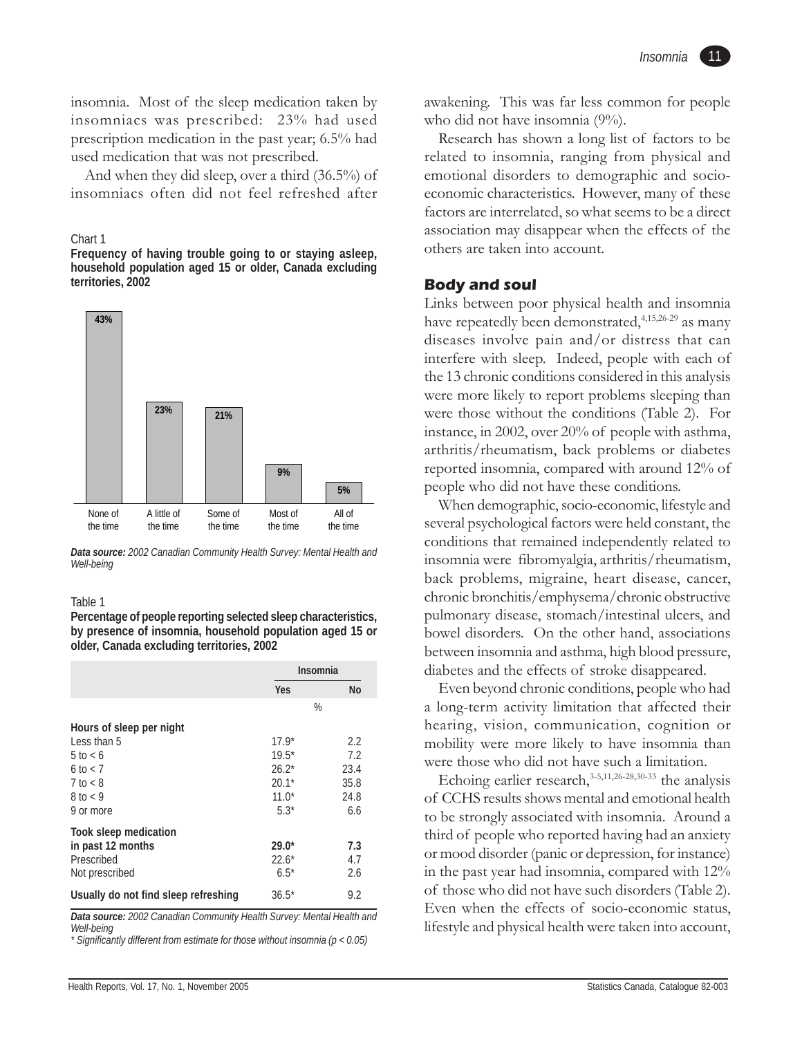insomnia. Most of the sleep medication taken by insomniacs was prescribed: 23% had used prescription medication in the past year; 6.5% had used medication that was not prescribed.

And when they did sleep, over a third (36.5%) of insomniacs often did not feel refreshed after

#### Chart 1

**Frequency of having trouble going to or staying asleep, household population aged 15 or older, Canada excluding territories, 2002**



*Data source: 2002 Canadian Community Health Survey: Mental Health and Well-being*

#### Table 1

**Percentage of people reporting selected sleep characteristics, by presence of insomnia, household population aged 15 or older, Canada excluding territories, 2002**

|                                                                                    |                         | <b>Insomnia</b> |
|------------------------------------------------------------------------------------|-------------------------|-----------------|
|                                                                                    | <b>Yes</b>              | No              |
|                                                                                    |                         | %               |
| Hours of sleep per night                                                           |                         |                 |
| Less than 5                                                                        | $17.9*$                 | 2.2             |
| $5$ to $< 6$                                                                       | $19.5*$                 | 7.2             |
| $6$ to $< 7$                                                                       | $26.2*$                 | 23.4            |
| $7$ to $\lt 8$                                                                     | $20.1*$                 | 35.8            |
| $8$ to $<$ 9                                                                       | $11.0*$                 | 24.8            |
| 9 or more                                                                          | $5.3*$                  | 6.6             |
| <b>Took sleep medication</b>                                                       |                         |                 |
| in past 12 months                                                                  | $29.0*$                 | 7.3             |
| Prescribed                                                                         | $22.6*$                 | 4.7             |
| Not prescribed                                                                     | $6.5*$                  | 2.6             |
| Usually do not find sleep refreshing<br>$0.0000 \times 10^{-1}$<br>- -<br>$\cdots$ | $36.5*$<br>$\mathbf{u}$ | 9.2             |

*Data source: 2002 Canadian Community Health Survey: Mental Health and Well-being*

*\* Significantly different from estimate for those without insomnia (p < 0.05)*

awakening. This was far less common for people who did not have insomnia (9%).

Research has shown a long list of factors to be related to insomnia, ranging from physical and emotional disorders to demographic and socioeconomic characteristics. However, many of these factors are interrelated, so what seems to be a direct association may disappear when the effects of the others are taken into account.

# **Body and soul**

Links between poor physical health and insomnia have repeatedly been demonstrated,<sup>4,15,26-29</sup> as many diseases involve pain and/or distress that can interfere with sleep. Indeed, people with each of the 13 chronic conditions considered in this analysis were more likely to report problems sleeping than were those without the conditions (Table 2). For instance, in 2002, over 20% of people with asthma, arthritis/rheumatism, back problems or diabetes reported insomnia, compared with around 12% of people who did not have these conditions.

When demographic, socio-economic, lifestyle and several psychological factors were held constant, the conditions that remained independently related to insomnia were fibromyalgia, arthritis/rheumatism, back problems, migraine, heart disease, cancer, chronic bronchitis/emphysema/chronic obstructive pulmonary disease, stomach/intestinal ulcers, and bowel disorders. On the other hand, associations between insomnia and asthma, high blood pressure, diabetes and the effects of stroke disappeared.

Even beyond chronic conditions, people who had a long-term activity limitation that affected their hearing, vision, communication, cognition or mobility were more likely to have insomnia than were those who did not have such a limitation.

Echoing earlier research, $3-5,11,26-28,30-33$  the analysis of CCHS results shows mental and emotional health to be strongly associated with insomnia. Around a third of people who reported having had an anxiety or mood disorder (panic or depression, for instance) in the past year had insomnia, compared with 12% of those who did not have such disorders (Table 2). Even when the effects of socio-economic status, lifestyle and physical health were taken into account,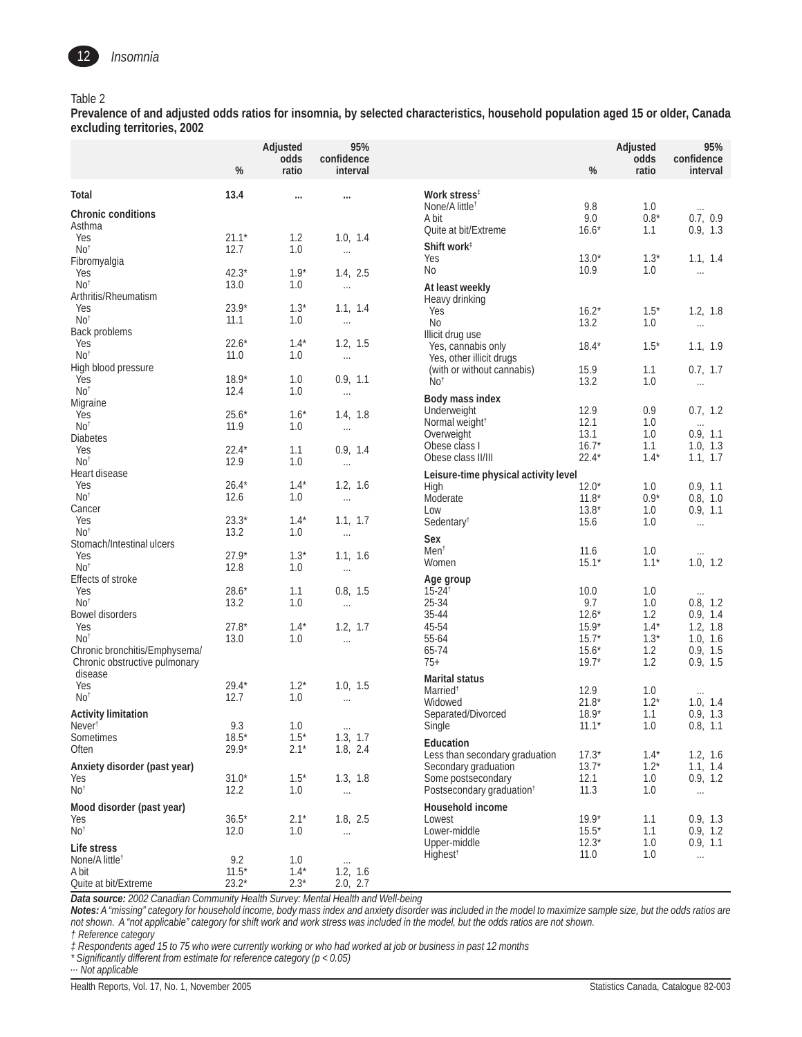

#### Table 2

**Prevalence of and adjusted odds ratios for insomnia, by selected characteristics, household population aged 15 or older, Canada excluding territories, 2002**

|                                                                | $\%$               | Adjusted<br>odds<br>ratio | 95%<br>confidence<br>interval |                                                        | $\%$               | Adjusted<br>odds<br>ratio | 95%<br>confidence<br>interval |
|----------------------------------------------------------------|--------------------|---------------------------|-------------------------------|--------------------------------------------------------|--------------------|---------------------------|-------------------------------|
| Total                                                          | 13.4               | $\cdots$                  | $\cdots$                      | Work stress <sup>#</sup>                               |                    |                           |                               |
| <b>Chronic conditions</b>                                      |                    |                           |                               | None/A little <sup>†</sup>                             | 9.8                | 1.0                       | $\cdots$                      |
| Asthma                                                         |                    |                           |                               | A bit<br>Quite at bit/Extreme                          | 9.0<br>$16.6*$     | $0.8^{\star}$<br>1.1      | 0.7, 0.9<br>0.9, 1.3          |
| Yes                                                            | $21.1*$            | 1.2                       | 1.0, 1.4                      | Shift work <sup>1</sup>                                |                    |                           |                               |
| No <sup>†</sup><br>Fibromyalgia                                | 12.7               | 1.0                       | $\ldots$                      | Yes                                                    | $13.0*$            | $1.3*$                    | 1.1, 1.4                      |
| Yes                                                            | $42.3*$            | $1.9*$                    | 1.4, 2.5                      | No                                                     | 10.9               | 1.0                       | $\ldots$                      |
| No <sup>†</sup><br>Arthritis/Rheumatism                        | 13.0               | 1.0                       | $\ldots$                      | At least weekly                                        |                    |                           |                               |
| Yes                                                            | $23.9*$            | $1.3*$                    | 1.1, 1.4                      | Heavy drinking<br>Yes                                  | $16.2*$            | $1.5*$                    | 1.2, 1.8                      |
| No <sup>†</sup>                                                | 11.1               | 1.0                       | $\ldots$                      | N <sub>0</sub>                                         | 13.2               | 1.0                       | $\ldots$                      |
| Back problems<br>Yes                                           | $22.6*$            | $1.4*$                    | 1.2, 1.5                      | Illicit drug use                                       | $18.4*$            |                           |                               |
| No <sup>†</sup>                                                | 11.0               | 1.0                       | $\ldots$                      | Yes, cannabis only<br>Yes, other illicit drugs         |                    | $1.5*$                    | 1.1, 1.9                      |
| High blood pressure<br>Yes                                     | $18.9*$            | 1.0                       | 0.9, 1.1                      | (with or without cannabis)                             | 15.9               | 1.1                       | 0.7, 1.7                      |
| No <sup>†</sup>                                                | 12.4               | 1.0                       | $\ldots$                      | No <sup>†</sup>                                        | 13.2               | 1.0                       | $\ldots$                      |
| Migraine                                                       |                    |                           |                               | Body mass index<br>Underweight                         | 12.9               | 0.9                       | 0.7, 1.2                      |
| Yes<br>No <sup>†</sup>                                         | $25.6*$<br>11.9    | $1.6*$<br>1.0             | 1.4, 1.8<br>$\ldots$          | Normal weight <sup>+</sup>                             | 12.1               | 1.0                       | $\ldots$                      |
| <b>Diabetes</b>                                                |                    |                           |                               | Overweight                                             | 13.1               | 1.0                       | 0.9, 1.1                      |
| Yes<br>No <sup>†</sup>                                         | $22.4*$<br>12.9    | 1.1<br>1.0                | 0.9, 1.4                      | Obese class I<br>Obese class II/III                    | $16.7*$<br>$22.4*$ | 1.1<br>$1.4*$             | 1.0, 1.3<br>1.1, 1.7          |
| Heart disease                                                  |                    |                           | $\ldots$                      | Leisure-time physical activity level                   |                    |                           |                               |
| Yes                                                            | $26.4*$            | $1.4*$                    | 1.2, 1.6                      | High                                                   | $12.0*$            | 1.0                       | 0.9, 1.1                      |
| No <sup>†</sup><br>Cancer                                      | 12.6               | 1.0                       | $\ldots$                      | Moderate<br>Low                                        | $11.8*$<br>$13.8*$ | $0.9*$<br>1.0             | 0.8, 1.0<br>0.9, 1.1          |
| Yes                                                            | $23.3*$            | $1.4*$                    | 1.1, 1.7                      | Sedentary <sup>t</sup>                                 | 15.6               | 1.0                       | $\cdots$                      |
| No <sup>†</sup><br>Stomach/Intestinal ulcers                   | 13.2               | 1.0                       | $\ldots$                      | Sex                                                    |                    |                           |                               |
| Yes                                                            | $27.9*$            | $1.3*$                    | 1.1, 1.6                      | $M$ en <sup>t</sup>                                    | 11.6               | 1.0                       | $\cdots$                      |
| No <sup>†</sup>                                                | 12.8               | 1.0                       | $\ldots$                      | Women                                                  | $15.1*$            | $1.1*$                    | 1.0, 1.2                      |
| Effects of stroke<br>Yes                                       | $28.6*$            | 1.1                       | 0.8, 1.5                      | Age group<br>$15 - 24$ <sup>t</sup>                    | 10.0               | 1.0                       | $\cdots$                      |
| No <sup>†</sup>                                                | 13.2               | 1.0                       | $\ldots$                      | 25-34                                                  | 9.7                | 1.0                       | 0.8, 1.2                      |
| <b>Bowel disorders</b><br>Yes                                  | $27.8*$            | $1.4*$                    | 1.2, 1.7                      | 35-44<br>45-54                                         | $12.6*$<br>$15.9*$ | 1.2<br>$1.4*$             | 0.9, 1.4<br>1.2, 1.8          |
| No <sup>†</sup>                                                | 13.0               | 1.0                       | $\cdots$                      | 55-64                                                  | $15.7*$            | $1.3*$                    | 1.0, 1.6                      |
| Chronic bronchitis/Emphysema/<br>Chronic obstructive pulmonary |                    |                           |                               | 65-74<br>$75+$                                         | $15.6*$<br>$19.7*$ | 1.2<br>1.2                | 0.9, 1.5<br>0.9, 1.5          |
| disease<br>Yes                                                 | $29.4*$            | $1.2*$                    | 1.0, 1.5                      | <b>Marital status</b>                                  |                    |                           |                               |
| No <sup>†</sup>                                                | 12.7               | 1.0                       | $\ldots$                      | Married <sup>t</sup><br>Widowed                        | 12.9<br>$21.8*$    | 1.0<br>$1.2*$             | $\cdots$<br>1.0, 1.4          |
| <b>Activity limitation</b>                                     |                    |                           |                               | Separated/Divorced                                     | $18.9*$            | 1.1                       | 0.9, 1.3                      |
| Never <sup>1</sup>                                             | 9.3                | 1.0                       | $\ldots$                      | Single                                                 | $11.1*$            | 1.0                       | 0.8, 1.1                      |
| Sometimes<br>Often                                             | $18.5*$<br>$29.9*$ | $1.5*$<br>$2.1*$          | 1.3, 1.7<br>1.8, 2.4          | Education                                              |                    |                           |                               |
| Anxiety disorder (past year)                                   |                    |                           |                               | Less than secondary graduation<br>Secondary graduation | $17.3*$<br>$13.7*$ | $1.4*$<br>$1.2*$          | 1.2, 1.6<br>1.1, 1.4          |
| Yes                                                            | $31.0*$            | $1.5*$                    | 1.3, 1.8                      | Some postsecondary                                     | 12.1               | 1.0                       | 0.9, 1.2                      |
| No <sup>†</sup>                                                | 12.2               | 1.0                       | $\ldots$                      | Postsecondary graduation <sup>+</sup>                  | 11.3               | 1.0                       | $\ldots$                      |
| Mood disorder (past year)                                      |                    |                           |                               | Household income                                       | $19.9*$            |                           | 0.9, 1.3                      |
| Yes<br>No <sup>†</sup>                                         | $36.5*$<br>12.0    | $2.1*$<br>1.0             | 1.8, 2.5<br>$\cdots$          | Lowest<br>Lower-middle                                 | $15.5*$            | 1.1<br>1.1                | 0.9, 1.2                      |
| Life stress                                                    |                    |                           |                               | Upper-middle                                           | $12.3*$            | 1.0                       | 0.9, 1.1                      |
| None/A little <sup>t</sup>                                     | 9.2                | 1.0                       | $\cdots$                      | Highest <sup>t</sup>                                   | 11.0               | 1.0                       | $\cdots$                      |
| A bit<br>Quite at bit/Extreme                                  | $11.5*$<br>$23.2*$ | $1.4*$<br>$2.3*$          | 1.2, 1.6<br>2.0, 2.7          |                                                        |                    |                           |                               |

*Data source: 2002 Canadian Community Health Survey: Mental Health and Well-being*

*Notes: A "missing" category for household income, body mass index and anxiety disorder was included in the model to maximize sample size, but the odds ratios are not shown. A "not applicable" category for shift work and work stress was included in the model, but the odds ratios are not shown.*

*† Reference category*

*‡ Respondents aged 15 to 75 who were currently working or who had worked at job or business in past 12 months*

*\* Significantly different from estimate for reference category (p < 0.05)*

*... Not applicable*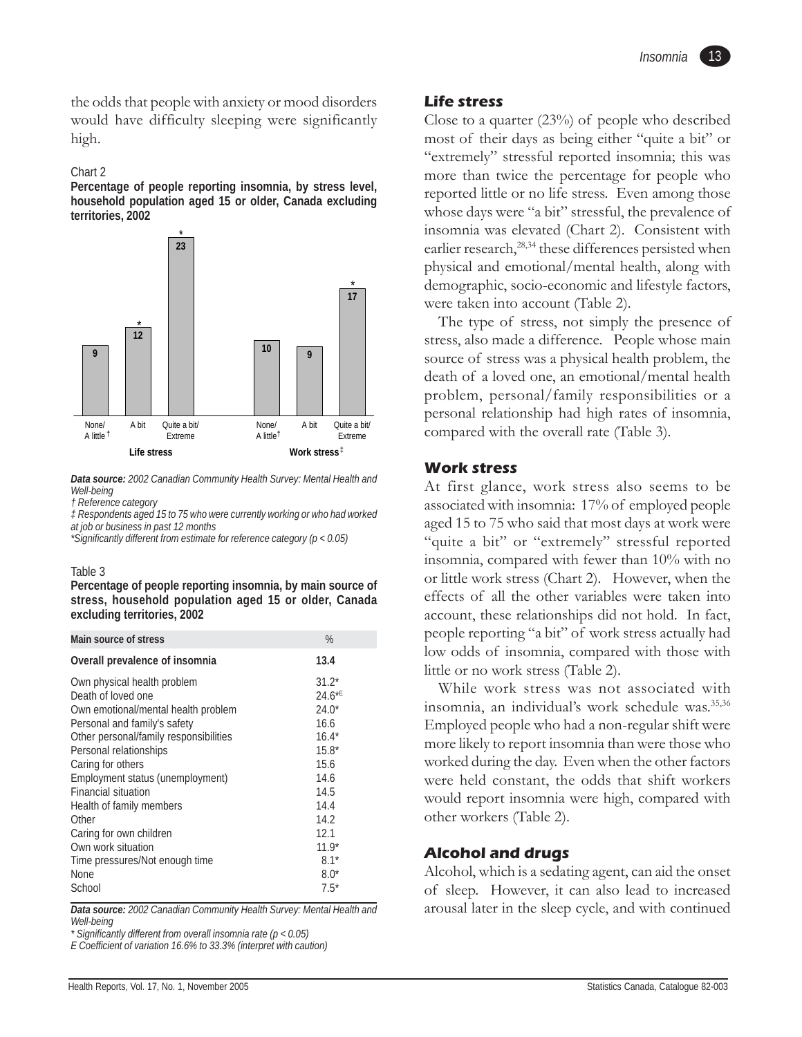the odds that people with anxiety or mood disorders would have difficulty sleeping were significantly high.

#### Chart 2

**Percentage of people reporting insomnia, by stress level, household population aged 15 or older, Canada excluding territories, 2002**



*Data source: 2002 Canadian Community Health Survey: Mental Health and Well-being*

*‡ Respondents aged 15 to 75 who were currently working or who had worked at job or business in past 12 months*

*\*Significantly different from estimate for reference category (p < 0.05)*

#### Table 3

**Percentage of people reporting insomnia, by main source of stress, household population aged 15 or older, Canada excluding territories, 2002**

| Main source of stress                                                                                                                                                                                                                                                                                                                                                                                               | $\%$                                                                                                                                       |
|---------------------------------------------------------------------------------------------------------------------------------------------------------------------------------------------------------------------------------------------------------------------------------------------------------------------------------------------------------------------------------------------------------------------|--------------------------------------------------------------------------------------------------------------------------------------------|
| Overall prevalence of insomnia                                                                                                                                                                                                                                                                                                                                                                                      | 13.4                                                                                                                                       |
| Own physical health problem<br>Death of loved one<br>Own emotional/mental health problem<br>Personal and family's safety<br>Other personal/family responsibilities<br>Personal relationships<br>Caring for others<br>Employment status (unemployment)<br><b>Financial situation</b><br>Health of family members<br>Other<br>Caring for own children<br>Own work situation<br>Time pressures/Not enough time<br>None | $31.2*$<br>$24.6*$<br>$74.0*$<br>16.6<br>$16.4*$<br>$15.8*$<br>15.6<br>14.6<br>14.5<br>14.4<br>14.2<br>12.1<br>$11.9*$<br>$8.1*$<br>$8.0*$ |
| School                                                                                                                                                                                                                                                                                                                                                                                                              | $7.5*$                                                                                                                                     |

*Data source: 2002 Canadian Community Health Survey: Mental Health and Well-being*

*\* Significantly different from overall insomnia rate (p < 0.05)*

*E Coefficient of variation 16.6% to 33.3% (interpret with caution)*

# **Life stress**

Close to a quarter (23%) of people who described most of their days as being either "quite a bit" or "extremely" stressful reported insomnia; this was more than twice the percentage for people who reported little or no life stress. Even among those whose days were "a bit" stressful, the prevalence of insomnia was elevated (Chart 2). Consistent with earlier research,<sup>28,34</sup> these differences persisted when physical and emotional/mental health, along with demographic, socio-economic and lifestyle factors, were taken into account (Table 2).

The type of stress, not simply the presence of stress, also made a difference. People whose main source of stress was a physical health problem, the death of a loved one, an emotional/mental health problem, personal/family responsibilities or a personal relationship had high rates of insomnia, compared with the overall rate (Table 3).

#### **Work stress**

At first glance, work stress also seems to be associated with insomnia: 17% of employed people aged 15 to 75 who said that most days at work were "quite a bit" or "extremely" stressful reported insomnia, compared with fewer than 10% with no or little work stress (Chart 2). However, when the effects of all the other variables were taken into account, these relationships did not hold. In fact, people reporting "a bit" of work stress actually had low odds of insomnia, compared with those with little or no work stress (Table 2).

While work stress was not associated with insomnia, an individual's work schedule was.<sup>35,36</sup> Employed people who had a non-regular shift were more likely to report insomnia than were those who worked during the day. Even when the other factors were held constant, the odds that shift workers would report insomnia were high, compared with other workers (Table 2).

#### **Alcohol and drugs**

Alcohol, which is a sedating agent, can aid the onset of sleep. However, it can also lead to increased arousal later in the sleep cycle, and with continued

*<sup>†</sup> Reference category*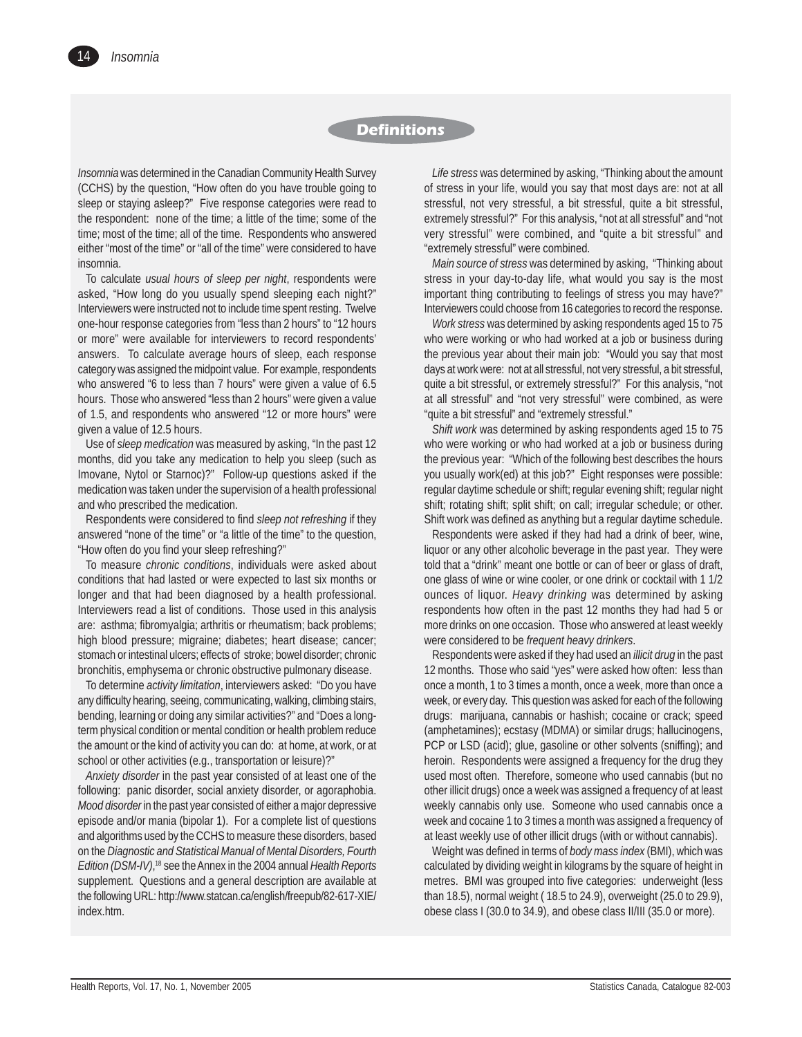# **Definitions**

*Insomnia* was determined in the Canadian Community Health Survey (CCHS) by the question, "How often do you have trouble going to sleep or staying asleep?" Five response categories were read to the respondent: none of the time; a little of the time; some of the time; most of the time; all of the time. Respondents who answered either "most of the time" or "all of the time" were considered to have insomnia.

To calculate *usual hours of sleep per night*, respondents were asked, "How long do you usually spend sleeping each night?" Interviewers were instructed not to include time spent resting. Twelve one-hour response categories from "less than 2 hours" to "12 hours or more" were available for interviewers to record respondents' answers. To calculate average hours of sleep, each response category was assigned the midpoint value. For example, respondents who answered "6 to less than 7 hours" were given a value of 6.5 hours. Those who answered "less than 2 hours" were given a value of 1.5, and respondents who answered "12 or more hours" were given a value of 12.5 hours.

Use of *sleep medication* was measured by asking, "In the past 12 months, did you take any medication to help you sleep (such as Imovane, Nytol or Starnoc)?" Follow-up questions asked if the medication was taken under the supervision of a health professional and who prescribed the medication.

Respondents were considered to find *sleep not refreshing* if they answered "none of the time" or "a little of the time" to the question, "How often do you find your sleep refreshing?"

To measure *chronic conditions*, individuals were asked about conditions that had lasted or were expected to last six months or longer and that had been diagnosed by a health professional. Interviewers read a list of conditions. Those used in this analysis are: asthma; fibromyalgia; arthritis or rheumatism; back problems; high blood pressure; migraine; diabetes; heart disease; cancer; stomach or intestinal ulcers; effects of stroke; bowel disorder; chronic bronchitis, emphysema or chronic obstructive pulmonary disease.

To determine *activity limitation*, interviewers asked: "Do you have any difficulty hearing, seeing, communicating, walking, climbing stairs, bending, learning or doing any similar activities?" and "Does a longterm physical condition or mental condition or health problem reduce the amount or the kind of activity you can do: at home, at work, or at school or other activities (e.g., transportation or leisure)?"

*Anxiety disorder* in the past year consisted of at least one of the following: panic disorder, social anxiety disorder, or agoraphobia. *Mood disorder* in the past year consisted of either a major depressive episode and/or mania (bipolar 1). For a complete list of questions and algorithms used by the CCHS to measure these disorders, based on the *Diagnostic and Statistical Manual of Mental Disorders, Fourth Edition (DSM-IV)*, 18 see the Annex in the 2004 annual *Health Reports* supplement. Questions and a general description are available at the following URL: http://www.statcan.ca/english/freepub/82-617-XIE/ index.htm.

*Life stress* was determined by asking, "Thinking about the amount of stress in your life, would you say that most days are: not at all stressful, not very stressful, a bit stressful, quite a bit stressful, extremely stressful?" For this analysis, "not at all stressful" and "not very stressful" were combined, and "quite a bit stressful" and "extremely stressful" were combined.

*Main source of stress* was determined by asking, "Thinking about stress in your day-to-day life, what would you say is the most important thing contributing to feelings of stress you may have?" Interviewers could choose from 16 categories to record the response.

*Work stress* was determined by asking respondents aged 15 to 75 who were working or who had worked at a job or business during the previous year about their main job: "Would you say that most days at work were: not at all stressful, not very stressful, a bit stressful, quite a bit stressful, or extremely stressful?" For this analysis, "not at all stressful" and "not very stressful" were combined, as were "quite a bit stressful" and "extremely stressful."

*Shift work* was determined by asking respondents aged 15 to 75 who were working or who had worked at a job or business during the previous year: "Which of the following best describes the hours you usually work(ed) at this job?" Eight responses were possible: regular daytime schedule or shift; regular evening shift; regular night shift; rotating shift; split shift; on call; irregular schedule; or other. Shift work was defined as anything but a regular daytime schedule.

Respondents were asked if they had had a drink of beer, wine, liquor or any other alcoholic beverage in the past year. They were told that a "drink" meant one bottle or can of beer or glass of draft, one glass of wine or wine cooler, or one drink or cocktail with 1 1/2 ounces of liquor. *Heavy drinking* was determined by asking respondents how often in the past 12 months they had had 5 or more drinks on one occasion. Those who answered at least weekly were considered to be *frequent heavy drinkers*.

Respondents were asked if they had used an *illicit drug* in the past 12 months. Those who said "yes" were asked how often: less than once a month, 1 to 3 times a month, once a week, more than once a week, or every day. This question was asked for each of the following drugs: marijuana, cannabis or hashish; cocaine or crack; speed (amphetamines); ecstasy (MDMA) or similar drugs; hallucinogens, PCP or LSD (acid); glue, gasoline or other solvents (sniffing); and heroin. Respondents were assigned a frequency for the drug they used most often. Therefore, someone who used cannabis (but no other illicit drugs) once a week was assigned a frequency of at least weekly cannabis only use. Someone who used cannabis once a week and cocaine 1 to 3 times a month was assigned a frequency of at least weekly use of other illicit drugs (with or without cannabis).

Weight was defined in terms of *body mass index* (BMI), which was calculated by dividing weight in kilograms by the square of height in metres. BMI was grouped into five categories: underweight (less than 18.5), normal weight ( 18.5 to 24.9), overweight (25.0 to 29.9), obese class I (30.0 to 34.9), and obese class II/III (35.0 or more).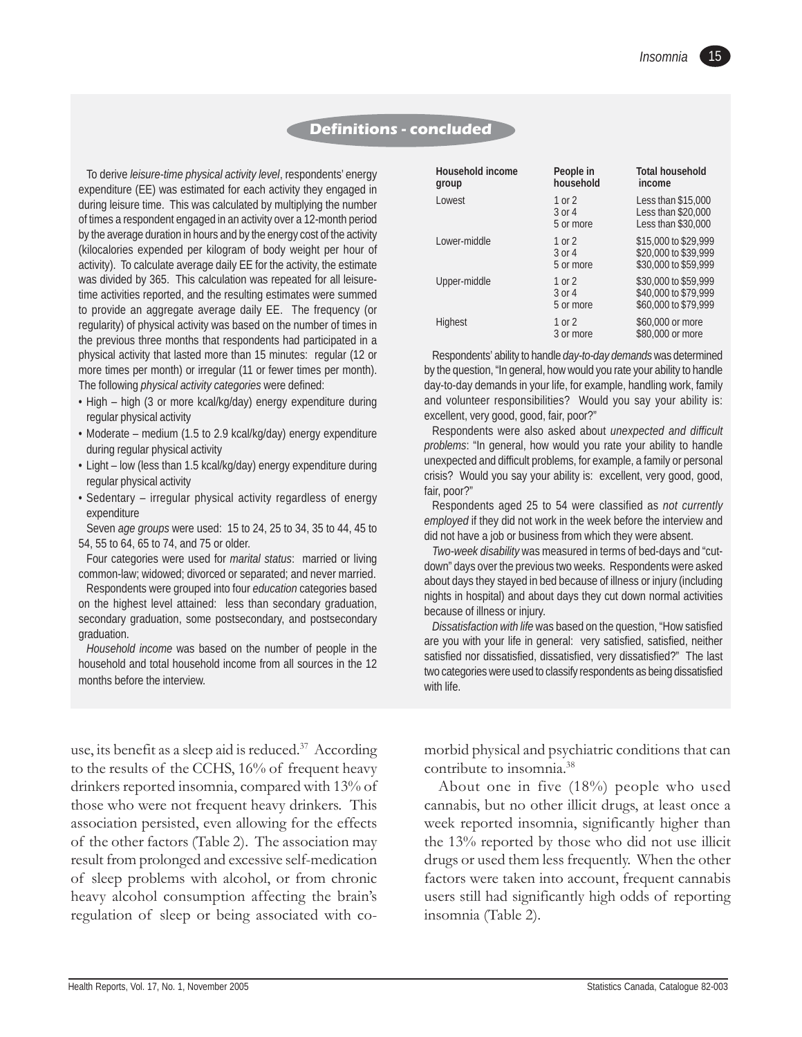# **Definitions - concluded**

To derive *leisure-time physical activity level*, respondents' energy expenditure (EE) was estimated for each activity they engaged in during leisure time. This was calculated by multiplying the number of times a respondent engaged in an activity over a 12-month period by the average duration in hours and by the energy cost of the activity (kilocalories expended per kilogram of body weight per hour of activity). To calculate average daily EE for the activity, the estimate was divided by 365. This calculation was repeated for all leisuretime activities reported, and the resulting estimates were summed to provide an aggregate average daily EE. The frequency (or regularity) of physical activity was based on the number of times in the previous three months that respondents had participated in a physical activity that lasted more than 15 minutes: regular (12 or more times per month) or irregular (11 or fewer times per month). The following *physical activity categories* were defined:

- High high (3 or more kcal/kg/day) energy expenditure during regular physical activity
- Moderate medium (1.5 to 2.9 kcal/kg/day) energy expenditure during regular physical activity
- Light low (less than 1.5 kcal/kg/day) energy expenditure during regular physical activity
- Sedentary irregular physical activity regardless of energy expenditure

Seven *age groups* were used: 15 to 24, 25 to 34, 35 to 44, 45 to 54, 55 to 64, 65 to 74, and 75 or older.

Four categories were used for *marital status*: married or living common-law; widowed; divorced or separated; and never married.

Respondents were grouped into four *education* categories based on the highest level attained: less than secondary graduation, secondary graduation, some postsecondary, and postsecondary graduation.

*Household income* was based on the number of people in the household and total household income from all sources in the 12 months before the interview.

| <b>Household income</b><br>group | People in<br>household        | <b>Total household</b><br>income                                     |
|----------------------------------|-------------------------------|----------------------------------------------------------------------|
| Lowest                           | 1 or 2<br>3 or 4<br>5 or more | Less than \$15,000<br>Less than \$20,000<br>Less than \$30,000       |
| Lower-middle                     | 1 or 2<br>3 or 4<br>5 or more | \$15,000 to \$29,999<br>\$20,000 to \$39,999<br>\$30,000 to \$59,999 |
| Upper-middle                     | 1 or 2<br>3 or 4<br>5 or more | \$30,000 to \$59,999<br>\$40,000 to \$79,999<br>\$60,000 to \$79,999 |
| Highest                          | 1 or 2<br>3 or more           | \$60,000 or more<br>\$80,000 or more                                 |

Respondents' ability to handle *day-to-day demands* was determined by the question, "In general, how would you rate your ability to handle day-to-day demands in your life, for example, handling work, family and volunteer responsibilities? Would you say your ability is: excellent, very good, good, fair, poor?"

Respondents were also asked about *unexpected and difficult problems*: "In general, how would you rate your ability to handle unexpected and difficult problems, for example, a family or personal crisis? Would you say your ability is: excellent, very good, good, fair, poor?"

Respondents aged 25 to 54 were classified as *not currently employed* if they did not work in the week before the interview and did not have a job or business from which they were absent.

*Two-week disability* was measured in terms of bed-days and "cutdown" days over the previous two weeks. Respondents were asked about days they stayed in bed because of illness or injury (including nights in hospital) and about days they cut down normal activities because of illness or injury.

*Dissatisfaction with life* was based on the question, "How satisfied are you with your life in general: very satisfied, satisfied, neither satisfied nor dissatisfied, dissatisfied, very dissatisfied?" The last two categories were used to classify respondents as being dissatisfied with life.

use, its benefit as a sleep aid is reduced.<sup>37</sup> According to the results of the CCHS, 16% of frequent heavy drinkers reported insomnia, compared with 13% of those who were not frequent heavy drinkers. This association persisted, even allowing for the effects of the other factors (Table 2). The association may result from prolonged and excessive self-medication of sleep problems with alcohol, or from chronic heavy alcohol consumption affecting the brain's regulation of sleep or being associated with comorbid physical and psychiatric conditions that can contribute to insomnia.38

About one in five (18%) people who used cannabis, but no other illicit drugs, at least once a week reported insomnia, significantly higher than the 13% reported by those who did not use illicit drugs or used them less frequently. When the other factors were taken into account, frequent cannabis users still had significantly high odds of reporting insomnia (Table 2).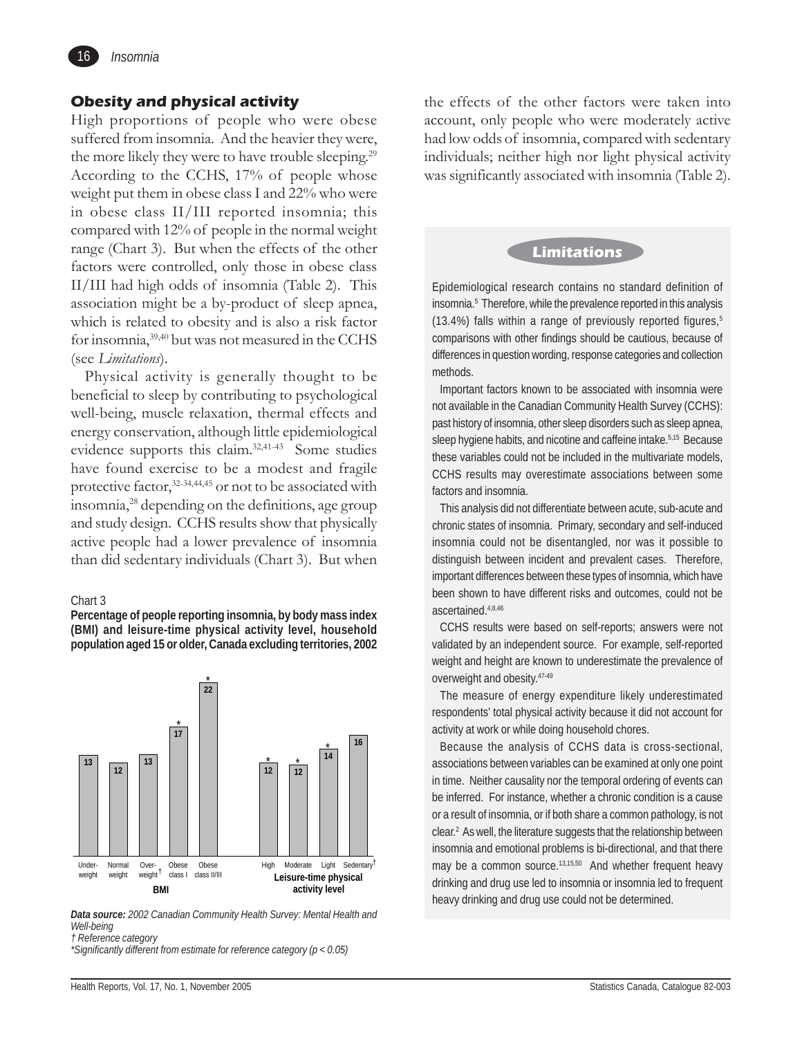

# **Obesity and physical activity**

High proportions of people who were obese suffered from insomnia. And the heavier they were, the more likely they were to have trouble sleeping.<sup>29</sup> According to the CCHS, 17% of people whose weight put them in obese class I and 22% who were in obese class II/III reported insomnia; this compared with 12% of people in the normal weight range (Chart 3). But when the effects of the other factors were controlled, only those in obese class II/III had high odds of insomnia (Table 2). This association might be a by-product of sleep apnea, which is related to obesity and is also a risk factor for insomnia,39,40 but was not measured in the CCHS (see *Limitations*).

Physical activity is generally thought to be beneficial to sleep by contributing to psychological well-being, muscle relaxation, thermal effects and energy conservation, although little epidemiological evidence supports this claim.32,41-43 Some studies have found exercise to be a modest and fragile protective factor,<sup>32-34,44,45</sup> or not to be associated with insomnia,28 depending on the definitions, age group and study design. CCHS results show that physically active people had a lower prevalence of insomnia than did sedentary individuals (Chart 3). But when

#### Chart 3

**Percentage of people reporting insomnia, by body mass index (BMI) and leisure-time physical activity level, household population aged 15 or older, Canada excluding territories, 2002**



*Data source: 2002 Canadian Community Health Survey: Mental Health and Well-being*

*† Reference category*

the effects of the other factors were taken into account, only people who were moderately active had low odds of insomnia, compared with sedentary individuals; neither high nor light physical activity was significantly associated with insomnia (Table 2).

# **Limitations**

Epidemiological research contains no standard definition of insomnia.<sup>5</sup> Therefore, while the prevalence reported in this analysis (13.4%) falls within a range of previously reported figures, $5$ comparisons with other findings should be cautious, because of differences in question wording, response categories and collection methods.

Important factors known to be associated with insomnia were not available in the Canadian Community Health Survey (CCHS): past history of insomnia, other sleep disorders such as sleep apnea, sleep hygiene habits, and nicotine and caffeine intake.<sup>5,15</sup> Because these variables could not be included in the multivariate models, CCHS results may overestimate associations between some factors and insomnia.

This analysis did not differentiate between acute, sub-acute and chronic states of insomnia. Primary, secondary and self-induced insomnia could not be disentangled, nor was it possible to distinguish between incident and prevalent cases. Therefore, important differences between these types of insomnia, which have been shown to have different risks and outcomes, could not be ascertained.4,8,46

CCHS results were based on self-reports; answers were not validated by an independent source. For example, self-reported weight and height are known to underestimate the prevalence of overweight and obesity.47-49

The measure of energy expenditure likely underestimated respondents' total physical activity because it did not account for activity at work or while doing household chores.

Because the analysis of CCHS data is cross-sectional, associations between variables can be examined at only one point in time. Neither causality nor the temporal ordering of events can be inferred. For instance, whether a chronic condition is a cause or a result of insomnia, or if both share a common pathology, is not clear.<sup>2</sup> As well, the literature suggests that the relationship between insomnia and emotional problems is bi-directional, and that there may be a common source.<sup>13,15,50</sup> And whether frequent heavy drinking and drug use led to insomnia or insomnia led to frequent heavy drinking and drug use could not be determined.

*<sup>\*</sup>Significantly different from estimate for reference category (p < 0.05)*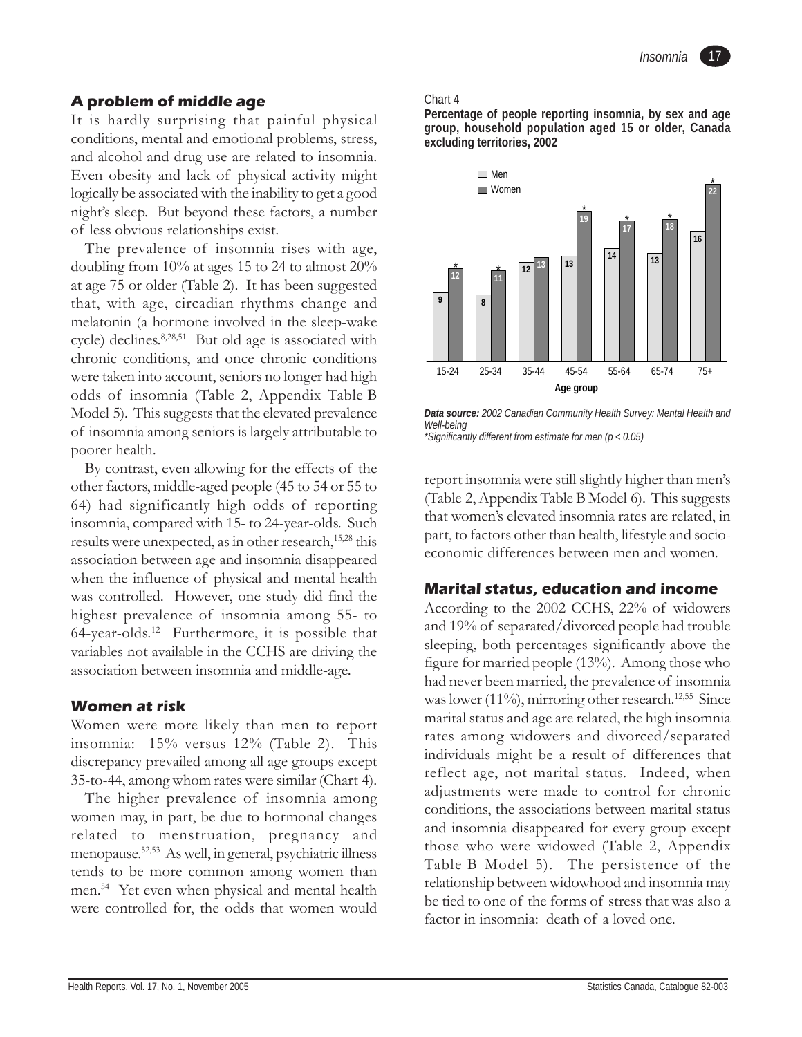# **A problem of middle age**

It is hardly surprising that painful physical conditions, mental and emotional problems, stress, and alcohol and drug use are related to insomnia. Even obesity and lack of physical activity might logically be associated with the inability to get a good night's sleep. But beyond these factors, a number of less obvious relationships exist.

The prevalence of insomnia rises with age, doubling from 10% at ages 15 to 24 to almost 20% at age 75 or older (Table 2). It has been suggested that, with age, circadian rhythms change and melatonin (a hormone involved in the sleep-wake cycle) declines.8,28,51 But old age is associated with chronic conditions, and once chronic conditions were taken into account, seniors no longer had high odds of insomnia (Table 2, Appendix Table B Model 5). This suggests that the elevated prevalence of insomnia among seniors is largely attributable to poorer health.

By contrast, even allowing for the effects of the other factors, middle-aged people (45 to 54 or 55 to 64) had significantly high odds of reporting insomnia, compared with 15- to 24-year-olds. Such results were unexpected, as in other research,<sup>15,28</sup> this association between age and insomnia disappeared when the influence of physical and mental health was controlled. However, one study did find the highest prevalence of insomnia among 55- to 64-year-olds.12 Furthermore, it is possible that variables not available in the CCHS are driving the association between insomnia and middle-age.

# **Women at risk**

Women were more likely than men to report insomnia: 15% versus 12% (Table 2). This discrepancy prevailed among all age groups except 35-to-44, among whom rates were similar (Chart 4).

The higher prevalence of insomnia among women may, in part, be due to hormonal changes related to menstruation, pregnancy and menopause.52,53 As well, in general, psychiatric illness tends to be more common among women than men.54 Yet even when physical and mental health were controlled for, the odds that women would

#### Chart 4

**Percentage of people reporting insomnia, by sex and age group, household population aged 15 or older, Canada excluding territories, 2002**



*Data source: 2002 Canadian Community Health Survey: Mental Health and Well-being \*Significantly different from estimate for men (p < 0.05)*

report insomnia were still slightly higher than men's (Table 2, Appendix Table B Model 6). This suggests that women's elevated insomnia rates are related, in part, to factors other than health, lifestyle and socioeconomic differences between men and women.

# **Marital status, education and income**

According to the 2002 CCHS, 22% of widowers and 19% of separated/divorced people had trouble sleeping, both percentages significantly above the figure for married people (13%). Among those who had never been married, the prevalence of insomnia was lower  $(11\%)$ , mirroring other research.<sup>12,55</sup> Since marital status and age are related, the high insomnia rates among widowers and divorced/separated individuals might be a result of differences that reflect age, not marital status. Indeed, when adjustments were made to control for chronic conditions, the associations between marital status and insomnia disappeared for every group except those who were widowed (Table 2, Appendix Table B Model 5). The persistence of the relationship between widowhood and insomnia may be tied to one of the forms of stress that was also a factor in insomnia: death of a loved one.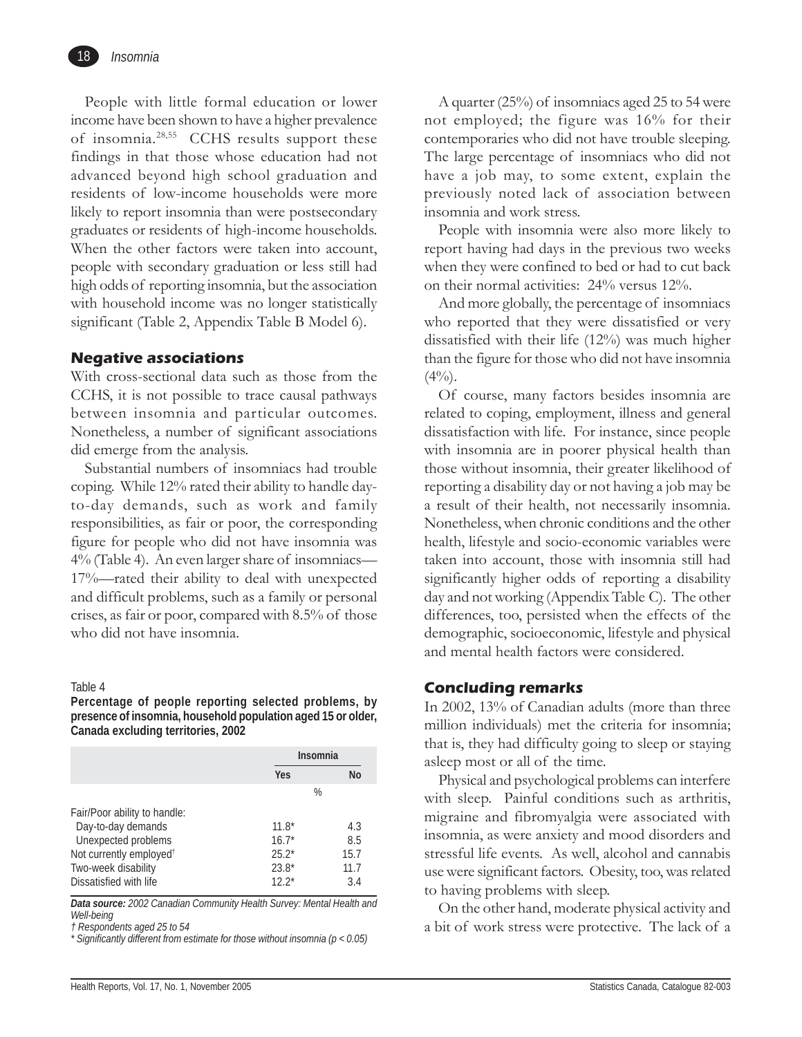

People with little formal education or lower income have been shown to have a higher prevalence of insomnia.28,55 CCHS results support these findings in that those whose education had not advanced beyond high school graduation and residents of low-income households were more likely to report insomnia than were postsecondary graduates or residents of high-income households. When the other factors were taken into account, people with secondary graduation or less still had high odds of reporting insomnia, but the association with household income was no longer statistically significant (Table 2, Appendix Table B Model 6).

# **Negative associations**

With cross-sectional data such as those from the CCHS, it is not possible to trace causal pathways between insomnia and particular outcomes. Nonetheless, a number of significant associations did emerge from the analysis.

Substantial numbers of insomniacs had trouble coping. While 12% rated their ability to handle dayto-day demands, such as work and family responsibilities, as fair or poor, the corresponding figure for people who did not have insomnia was 4% (Table 4). An even larger share of insomniacs— 17%—rated their ability to deal with unexpected and difficult problems, such as a family or personal crises, as fair or poor, compared with 8.5% of those who did not have insomnia.

#### Table 4

**Percentage of people reporting selected problems, by presence of insomnia, household population aged 15 or older, Canada excluding territories, 2002**

|                                     | <b>Insomnia</b> |      |
|-------------------------------------|-----------------|------|
|                                     | Yes             | No   |
|                                     | $\%$            |      |
| Fair/Poor ability to handle:        |                 |      |
| Day-to-day demands                  | $11.8*$         | 4.3  |
| Unexpected problems                 | $16.7*$         | 8.5  |
| Not currently employed <sup>†</sup> | $25.2*$         | 15.7 |
| Two-week disability                 | $23.8*$         | 11.7 |
| Dissatisfied with life              | $12.2*$         | 3.4  |

*Data source: 2002 Canadian Community Health Survey: Mental Health and Well-being*

*† Respondents aged 25 to 54*

*\* Significantly different from estimate for those without insomnia (p < 0.05)*

A quarter (25%) of insomniacs aged 25 to 54 were not employed; the figure was 16% for their contemporaries who did not have trouble sleeping. The large percentage of insomniacs who did not have a job may, to some extent, explain the previously noted lack of association between insomnia and work stress.

People with insomnia were also more likely to report having had days in the previous two weeks when they were confined to bed or had to cut back on their normal activities: 24% versus 12%.

And more globally, the percentage of insomniacs who reported that they were dissatisfied or very dissatisfied with their life (12%) was much higher than the figure for those who did not have insomnia  $(4\%)$ .

Of course, many factors besides insomnia are related to coping, employment, illness and general dissatisfaction with life. For instance, since people with insomnia are in poorer physical health than those without insomnia, their greater likelihood of reporting a disability day or not having a job may be a result of their health, not necessarily insomnia. Nonetheless, when chronic conditions and the other health, lifestyle and socio-economic variables were taken into account, those with insomnia still had significantly higher odds of reporting a disability day and not working (Appendix Table C). The other differences, too, persisted when the effects of the demographic, socioeconomic, lifestyle and physical and mental health factors were considered.

# **Concluding remarks**

In 2002, 13% of Canadian adults (more than three million individuals) met the criteria for insomnia; that is, they had difficulty going to sleep or staying asleep most or all of the time.

Physical and psychological problems can interfere with sleep. Painful conditions such as arthritis, migraine and fibromyalgia were associated with insomnia, as were anxiety and mood disorders and stressful life events. As well, alcohol and cannabis use were significant factors. Obesity, too, was related to having problems with sleep.

On the other hand, moderate physical activity and a bit of work stress were protective. The lack of a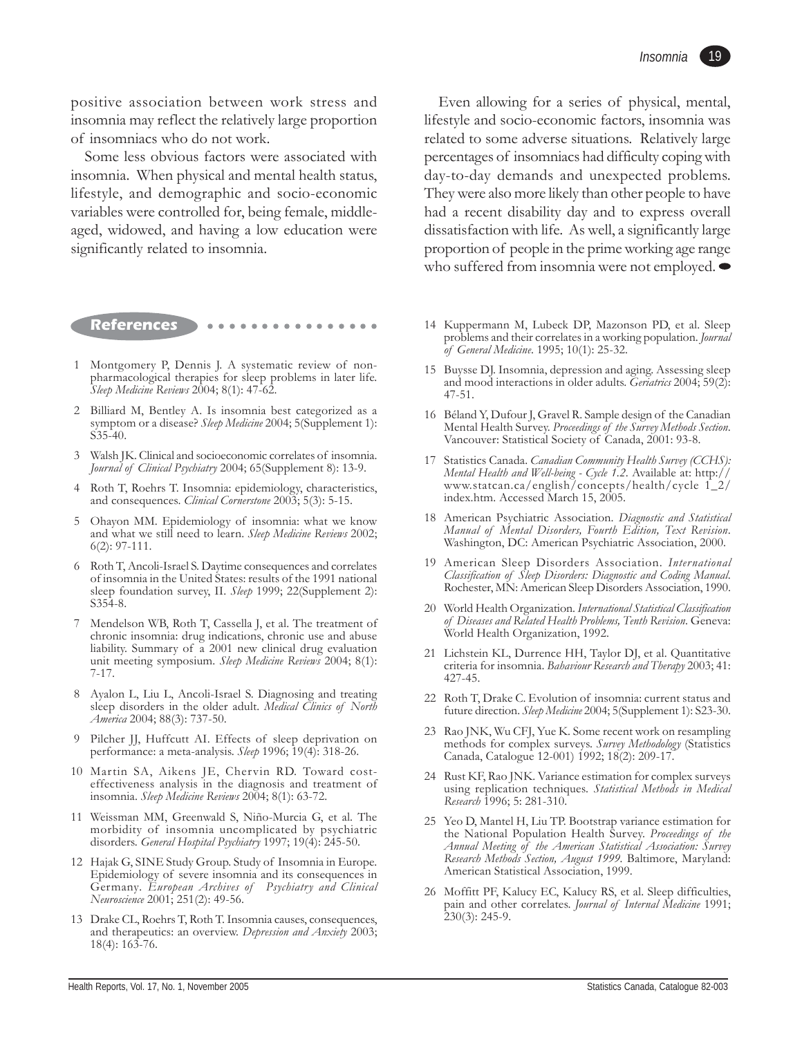positive association between work stress and insomnia may reflect the relatively large proportion of insomniacs who do not work.

Some less obvious factors were associated with insomnia. When physical and mental health status, lifestyle, and demographic and socio-economic variables were controlled for, being female, middleaged, widowed, and having a low education were significantly related to insomnia.

- **References** > •••••••••••
- 1 Montgomery P, Dennis J. A systematic review of nonpharmacological therapies for sleep problems in later life. *Sleep Medicine Reviews* 2004; 8(1): 47-62.
- 2 Billiard M, Bentley A. Is insomnia best categorized as a symptom or a disease? *Sleep Medicine* 2004; 5(Supplement 1): S35-40.
- 3 Walsh JK. Clinical and socioeconomic correlates of insomnia. *Journal of Clinical Psychiatry* 2004; 65(Supplement 8): 13-9.
- 4 Roth T, Roehrs T. Insomnia: epidemiology, characteristics, and consequences. *Clinical Cornerstone* 2003; 5(3): 5-15.
- 5 Ohayon MM. Epidemiology of insomnia: what we know and what we still need to learn. *Sleep Medicine Reviews* 2002; 6(2): 97-111.
- 6 Roth T, Ancoli-Israel S. Daytime consequences and correlates of insomnia in the United States: results of the 1991 national sleep foundation survey, II. *Sleep* 1999; 22(Supplement 2): S354-8.
- 7 Mendelson WB, Roth T, Cassella J, et al. The treatment of chronic insomnia: drug indications, chronic use and abuse liability. Summary of a 2001 new clinical drug evaluation unit meeting symposium. *Sleep Medicine Reviews* 2004; 8(1): 7-17.
- 8 Ayalon L, Liu L, Ancoli-Israel S. Diagnosing and treating sleep disorders in the older adult. *Medical Clinics of North America* 2004; 88(3): 737-50.
- 9 Pilcher JJ, Huffcutt AI. Effects of sleep deprivation on performance: a meta-analysis. *Sleep* 1996; 19(4): 318-26.
- 10 Martin SA, Aikens JE, Chervin RD. Toward costeffectiveness analysis in the diagnosis and treatment of insomnia. *Sleep Medicine Reviews* 2004; 8(1): 63-72.
- 11 Weissman MM, Greenwald S, Niño-Murcia G, et al. The morbidity of insomnia uncomplicated by psychiatric disorders. *General Hospital Psychiatry* 1997; 19(4): 245-50.
- 12 Hajak G, SINE Study Group. Study of Insomnia in Europe. Epidemiology of severe insomnia and its consequences in Germany*. European Archives of Psychiatry and Clinical Neuroscience* 2001; 251(2): 49-56.
- 13 Drake CL, Roehrs T, Roth T. Insomnia causes, consequences, and therapeutics: an overview. *Depression and Anxiety* 2003; 18(4): 163-76.

Even allowing for a series of physical, mental, lifestyle and socio-economic factors, insomnia was related to some adverse situations. Relatively large percentages of insomniacs had difficulty coping with day-to-day demands and unexpected problems. They were also more likely than other people to have had a recent disability day and to express overall dissatisfaction with life. As well, a significantly large proportion of people in the prime working age range who suffered from insomnia were not employed.  $\bullet$ 

- 14 Kuppermann M, Lubeck DP, Mazonson PD, et al. Sleep problems and their correlates in a working population. *Journal of General Medicine*. 1995; 10(1): 25-32.
- 15 Buysse DJ. Insomnia, depression and aging. Assessing sleep and mood interactions in older adults. *Geriatrics* 2004; 59(2): 47-51.
- 16 Béland Y, Dufour J, Gravel R. Sample design of the Canadian Mental Health Survey. *Proceedings of the Survey Methods Section*. Vancouver: Statistical Society of Canada, 2001: 93-8.
- 17 Statistics Canada. *Canadian Community Health Survey (CCHS): Mental Health and Well-being - Cycle 1.2*. Available at: http:// www.statcan.ca/english/concepts/health/cycle 1\_2/ index.htm. Accessed March 15, 2005.
- 18 American Psychiatric Association. *Diagnostic and Statistical Manual of Mental Disorders, Fourth Edition, Text Revision*. Washington, DC: American Psychiatric Association, 2000.
- 19 American Sleep Disorders Association. *International Classification of Sleep Disorders: Diagnostic and Coding Manual*. Rochester, MN: American Sleep Disorders Association, 1990.
- 20 World Health Organization. *International Statistical Classification of Diseases and Related Health Problems, Tenth Revision*. Geneva: World Health Organization, 1992.
- 21 Lichstein KL, Durrence HH, Taylor DJ, et al. Quantitative criteria for insomnia. *Bahaviour Research and Therapy* 2003; 41: 427-45.
- 22 Roth T, Drake C. Evolution of insomnia: current status and future direction. *Sleep Medicine* 2004; 5(Supplement 1): S23-30.
- 23 Rao JNK, Wu CFJ, Yue K. Some recent work on resampling methods for complex surveys. *Survey Methodology* (Statistics Canada, Catalogue 12-001) 1992; 18(2): 209-17.
- 24 Rust KF, Rao JNK. Variance estimation for complex surveys using replication techniques. *Statistical Methods in Medical Research* 1996; 5: 281-310.
- 25 Yeo D, Mantel H, Liu TP. Bootstrap variance estimation for the National Population Health Survey. *Proceedings of the Annual Meeting of the American Statistical Association: Survey Research Methods Section, August 1999.* Baltimore, Maryland: American Statistical Association, 1999.
- 26 Moffitt PF, Kalucy EC, Kalucy RS, et al. Sleep difficulties, pain and other correlates. *Journal of Internal Medicine* 1991;  $230(3)$ : 245-9.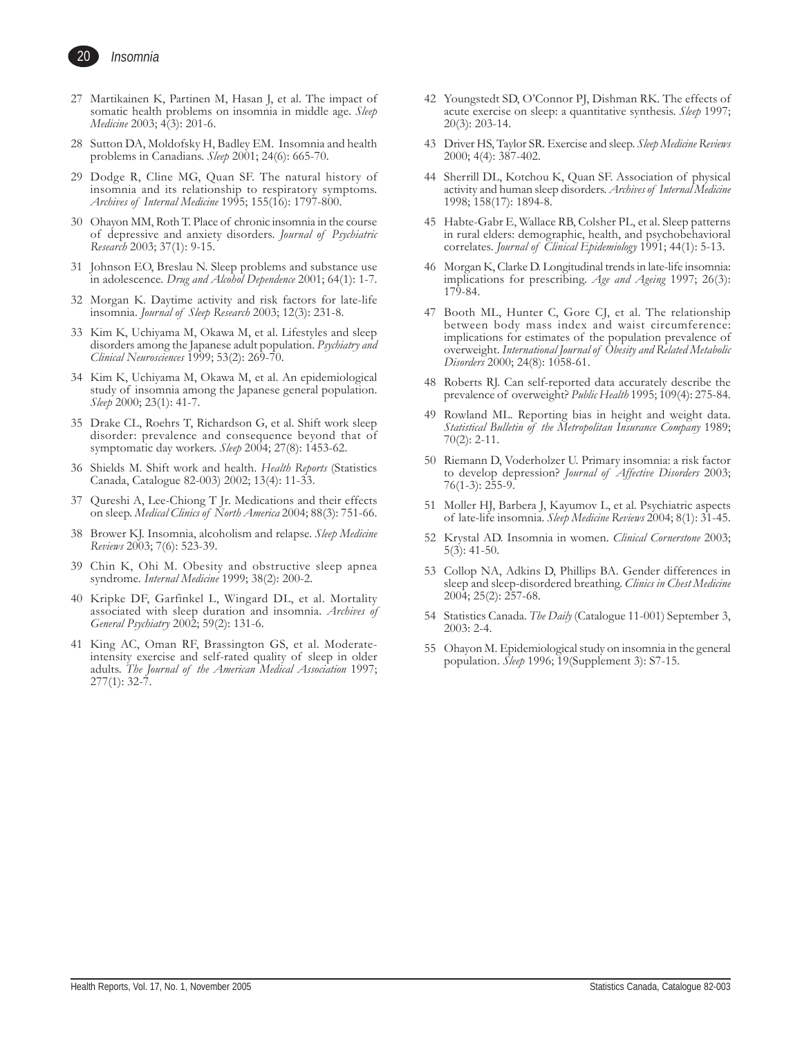

- *Insomnia*
- 27 Martikainen K, Partinen M, Hasan J, et al. The impact of somatic health problems on insomnia in middle age. *Sleep Medicine* 2003; 4(3): 201-6.
- 28 Sutton DA, Moldofsky H, Badley EM. Insomnia and health problems in Canadians. *Sleep* 2001; 24(6): 665-70.
- 29 Dodge R, Cline MG, Quan SF. The natural history of insomnia and its relationship to respiratory symptoms. *Archives of Internal Medicine* 1995; 155(16): 1797-800.
- 30 Ohayon MM, Roth T. Place of chronic insomnia in the course of depressive and anxiety disorders. *Journal of Psychiatric Research* 2003; 37(1): 9-15.
- 31 Johnson EO, Breslau N. Sleep problems and substance use in adolescence. *Drug and Alcohol Dependence* 2001; 64(1): 1-7.
- 32 Morgan K. Daytime activity and risk factors for late-life insomnia. *Journal of Sleep Research* 2003; 12(3): 231-8.
- 33 Kim K, Uchiyama M, Okawa M, et al. Lifestyles and sleep disorders among the Japanese adult population. *Psychiatry and Clinical Neurosciences* 1999; 53(2): 269-70.
- 34 Kim K, Uchiyama M, Okawa M, et al. An epidemiological study of insomnia among the Japanese general population. *Sleep* 2000; 23(1): 41-7.
- 35 Drake CL, Roehrs T, Richardson G, et al. Shift work sleep disorder: prevalence and consequence beyond that of symptomatic day workers. *Sleep* 2004; 27(8): 1453-62.
- 36 Shields M. Shift work and health. *Health Reports* (Statistics Canada, Catalogue 82-003) 2002; 13(4): 11-33.
- 37 Qureshi A, Lee-Chiong T Jr. Medications and their effects on sleep. *Medical Clinics of North America* 2004; 88(3): 751-66.
- 38 Brower KJ. Insomnia, alcoholism and relapse. *Sleep Medicine Reviews* 2003; 7(6): 523-39.
- 39 Chin K, Ohi M. Obesity and obstructive sleep apnea syndrome. *Internal Medicine* 1999; 38(2): 200-2.
- 40 Kripke DF, Garfinkel L, Wingard DL, et al. Mortality associated with sleep duration and insomnia. *Archives of General Psychiatry* 2002; 59(2): 131-6.
- 41 King AC, Oman RF, Brassington GS, et al. Moderateintensity exercise and self-rated quality of sleep in older adults. *The Journal of the American Medical Association* 1997;  $277(1): 32-7.$
- 42 Youngstedt SD, O'Connor PJ, Dishman RK. The effects of acute exercise on sleep: a quantitative synthesis. *Sleep* 1997; 20(3): 203-14.
- 43 Driver HS, Taylor SR. Exercise and sleep. *Sleep Medicine Reviews* 2000; 4(4): 387-402.
- 44 Sherrill DL, Kotchou K, Quan SF. Association of physical activity and human sleep disorders. *Archives of Internal Medicine* 1998; 158(17): 1894-8.
- 45 Habte-Gabr E, Wallace RB, Colsher PL, et al. Sleep patterns in rural elders: demographic, health, and psychobehavioral correlates. *Journal of Clinical Epidemiology* 1991; 44(1): 5-13.
- 46 Morgan K, Clarke D. Longitudinal trends in late-life insomnia: implications for prescribing. *Age and Ageing* 1997; 26(3): 179-84.
- 47 Booth ML, Hunter C, Gore CJ, et al. The relationship between body mass index and waist circumference: implications for estimates of the population prevalence of overweight. *International Journal of Obesity and Related Metabolic Disorders* 2000; 24(8): 1058-61.
- 48 Roberts RJ. Can self-reported data accurately describe the prevalence of overweight? *Public Health* 1995; 109(4): 275-84.
- 49 Rowland ML. Reporting bias in height and weight data. *Statistical Bulletin of the Metropolitan Insurance Company* 1989; 70(2): 2-11.
- 50 Riemann D, Voderholzer U. Primary insomnia: a risk factor to develop depression? *Journal of Affective Disorders* 2003; 76(1-3): 255-9.
- 51 Moller HJ, Barbera J, Kayumov L, et al. Psychiatric aspects of late-life insomnia. *Sleep Medicine Reviews* 2004; 8(1): 31-45.
- 52 Krystal AD. Insomnia in women. *Clinical Cornerstone* 2003; 5(3): 41-50.
- 53 Collop NA, Adkins D, Phillips BA. Gender differences in sleep and sleep-disordered breathing. *Clinics in Chest Medicine* 2004; 25(2): 257-68.
- 54 Statistics Canada. *The Daily* (Catalogue 11-001) September 3, 2003: 2-4.
- 55 Ohayon M. Epidemiological study on insomnia in the general population. *Sleep* 1996; 19(Supplement 3): S7-15.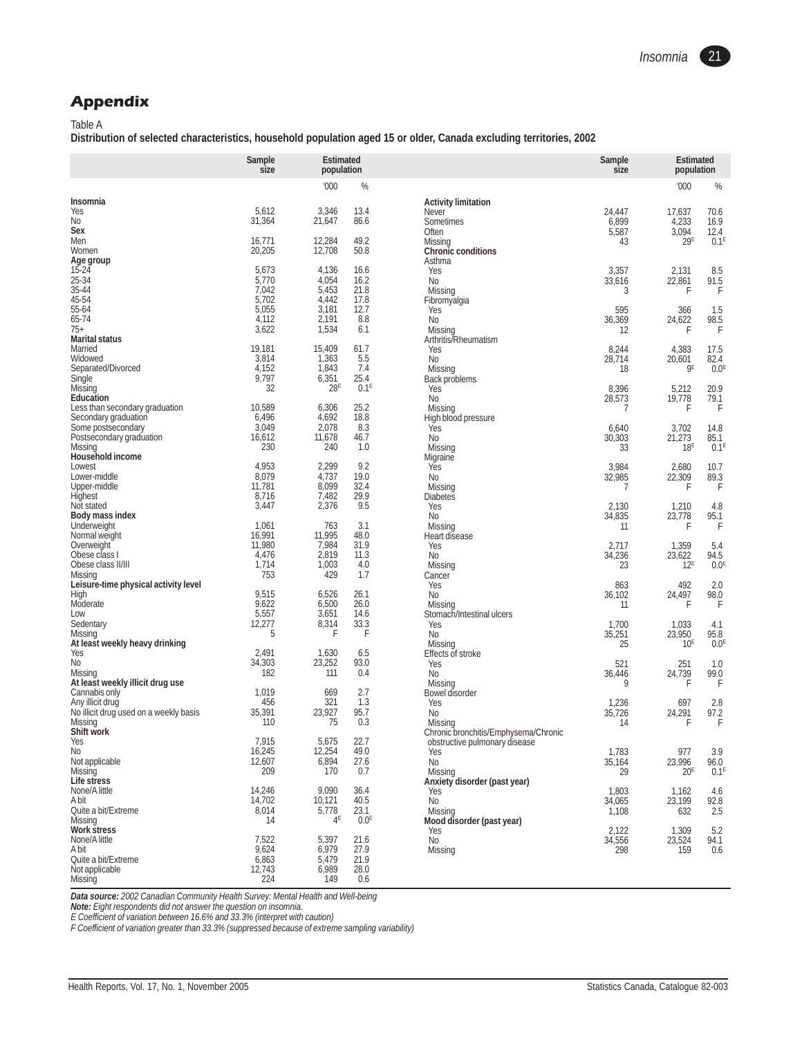# **Appendix**

Table A

**Distribution of selected characteristics, household population aged 15 or older, Canada excluding territories, 2002**

|                                                            | Sample<br>size   | <b>Estimated</b><br>population |                  |                                      | Sample<br>size  | <b>Estimated</b><br>population |                          |
|------------------------------------------------------------|------------------|--------------------------------|------------------|--------------------------------------|-----------------|--------------------------------|--------------------------|
|                                                            |                  | '000                           | %                |                                      |                 | '000                           | %                        |
| Insomnia                                                   |                  |                                |                  | <b>Activity limitation</b>           |                 |                                |                          |
| Yes<br>No                                                  | 5,612<br>31,364  | 3,346<br>21,647                | 13.4<br>86.6     | Never<br>Sometimes                   | 24,447<br>6,899 | 17,637<br>4,233                | 70.6<br>16.9             |
| Sex                                                        |                  |                                |                  | Often                                | 5,587           | 3,094                          | 12.4                     |
| Men                                                        | 16,771           | 12,284                         | 49.2             | Missing                              | 43              | 29E                            | 0.1 <sup>E</sup>         |
| Women                                                      | 20,205           | 12,708                         | 50.8             | <b>Chronic conditions</b>            |                 |                                |                          |
| Age group<br>$15 - 24$                                     | 5,673            | 4,136                          | 16.6             | Asthma<br>Yes                        | 3,357           | 2,131                          | 8.5                      |
| 25-34                                                      | 5,770            | 4,054                          | 16.2             | <b>No</b>                            | 33,616          | 22,861                         | 91.5                     |
| 35-44                                                      | 7,042            | 5,453                          | 21.8             | Missing                              | 3               | F                              | $\mathsf{F}$             |
| 45-54                                                      | 5,702<br>5,055   | 4,442                          | 17.8             | Fibromyalgia                         |                 |                                |                          |
| 55-64<br>65-74                                             | 4,112            | 3,181<br>2,191                 | 12.7<br>8.8      | Yes<br><b>No</b>                     | 595<br>36,369   | 366<br>24,622                  | 1.5<br>98.5              |
| $75+$                                                      | 3,622            | 1,534                          | 6.1              | Missing                              | 12              | F                              | $\overline{F}$           |
| <b>Marital status</b>                                      |                  |                                |                  | Arthritis/Rheumatism                 |                 |                                |                          |
| Married                                                    | 19,181           | 15,409                         | 61.7             | Yes                                  | 8,244           | 4,383                          | 17.5                     |
| Widowed<br>Separated/Divorced                              | 3,814<br>4,152   | 1,363<br>1,843                 | 5.5<br>7.4       | <b>No</b><br>Missing                 | 28,714<br>18    | 20,601<br><b>gE</b>            | 82.4<br>0.0 <sup>E</sup> |
| Single                                                     | 9,797            | 6,351                          | 25.4             | Back problems                        |                 |                                |                          |
| Missing                                                    | 32               | 28E                            | 0.1 <sup>E</sup> | Yes                                  | 8,396           | 5,212                          | 20.9                     |
| Education                                                  |                  |                                |                  | <b>No</b>                            | 28,573          | 19,778                         | 79.1                     |
| Less than secondary graduation<br>Secondary graduation     | 10,589<br>6,496  | 6,306<br>4,692                 | 25.2<br>18.8     | Missing<br>High blood pressure       | 7               | F                              | F                        |
| Some postsecondary                                         | 3,049            | 2,078                          | 8.3              | Yes                                  | 6,640           | 3,702                          | 14.8                     |
| Postsecondary graduation                                   | 16,612           | 11,678                         | 46.7             | <b>No</b>                            | 30,303          | 21,273                         | 85.1                     |
| Missing                                                    | 230              | 240                            | 1.0              | Missing                              | 33              | 18 <sup>E</sup>                | 0.1 <sup>E</sup>         |
| Household income<br>Lowest                                 | 4,953            | 2,299                          | 9.2              | Migraine<br>Yes                      | 3,984           | 2,680                          | 10.7                     |
| Lower-middle                                               | 8,079            | 4,737                          | 19.0             | <b>No</b>                            | 32,985          | 22,309                         | 89.3                     |
| Upper-middle                                               | 11,781           | 8,099                          | 32.4             | Missing                              | 7               | F                              | $\overline{F}$           |
| Highest                                                    | 8,716            | 7,482                          | 29.9             | Diabetes                             |                 |                                |                          |
| Not stated<br>Body mass index                              | 3,447            | 2,376                          | 9.5              | Yes<br><b>No</b>                     | 2,130<br>34,835 | 1,210<br>23,778                | 4.8<br>95.1              |
| Underweight                                                | 1,061            | 763                            | 3.1              | Missing                              | 11              | F                              | F                        |
| Normal weight                                              | 16,991           | 11,995                         | 48.0             | Heart disease                        |                 |                                |                          |
| Overweight                                                 | 11,980           | 7,984                          | 31.9             | Yes                                  | 2,717           | 1,359                          | 5.4                      |
| Obese class I<br>Obese class II/III                        | 4,476<br>1,714   | 2,819<br>1,003                 | 11.3<br>4.0      | No<br>Missing                        | 34,236<br>23    | 23,622<br>12 <sup>E</sup>      | 94.5<br>0.0 <sup>E</sup> |
| Missing                                                    | 753              | 429                            | 1.7              | Cancer                               |                 |                                |                          |
| Leisure-time physical activity level                       |                  |                                |                  | Yes                                  | 863             | 492                            | 2.0                      |
| High                                                       | 9,515            | 6,526                          | 26.1             | <b>No</b>                            | 36,102          | 24,497                         | 98.0                     |
| Moderate<br>Low                                            | 9,622<br>5,557   | 6,500<br>3,651                 | 26.0<br>14.6     | Missing                              | 11              | F                              | $\mathsf{F}$             |
| Sedentary                                                  | 12,277           | 8,314                          | 33.3             | Stomach/Intestinal ulcers<br>Yes     | 1,700           | 1,033                          | 4.1                      |
| Missing                                                    | 5                | F                              | F                | <b>No</b>                            | 35,251          | 23,950                         | 95.8                     |
| At least weekly heavy drinking                             |                  |                                |                  | Missing                              | 25              | 10 <sup>E</sup>                | 0.0 <sup>E</sup>         |
| Yes<br>No                                                  | 2,491<br>34,303  | 1,630<br>23,252                | 6.5<br>93.0      | Effects of stroke<br>Yes             | 521             | 251                            | 1.0                      |
| Missing                                                    | 182              | 111                            | 0.4              | <b>No</b>                            | 36,446          | 24,739                         | 99.0                     |
| At least weekly illicit drug use                           |                  |                                |                  | Missing                              | 9               | F                              | $\mathsf{F}$             |
| Cannabis only                                              | 1,019            | 669                            | 2.7              | Bowel disorder                       |                 |                                |                          |
| Any illicit drug<br>No illicit drug used on a weekly basis | 456<br>35,391    | 321<br>23,927                  | 1.3<br>95.7      | Yes<br><b>No</b>                     | 1,236<br>35,726 | 697<br>24,291                  | 2.8<br>97.2              |
| Missing                                                    | 110              | 75                             | 0.3              | Missing                              | 14              | F                              | F                        |
| Shift work                                                 |                  |                                |                  | Chronic bronchitis/Emphysema/Chronic |                 |                                |                          |
| Yes                                                        | 7,915            | 5,675<br>12,254                | 22.7<br>49.0     | obstructive pulmonary disease        |                 |                                |                          |
| No<br>Not applicable                                       | 16,245<br>12,607 | 6,894                          | 27.6             | Yes<br>No                            | 1,783<br>35,164 | 977<br>23,996                  | 3.9<br>96.0              |
| Missing                                                    | 209              | 170                            | 0.7              | Missing                              | 29              | 20 <sup>E</sup>                | 0.1 <sup>E</sup>         |
| Life stress                                                |                  |                                |                  | Anxiety disorder (past year)         |                 |                                |                          |
| None/A little<br>A bit                                     | 14,246<br>14,702 | 9,090<br>10,121                | 36.4<br>40.5     | Yes                                  | 1,803           | 1,162                          | 4.6                      |
| Quite a bit/Extreme                                        | 8,014            | 5,778                          | 23.1             | No<br>Missing                        | 34,065<br>1,108 | 23,199<br>632                  | 92.8<br>2.5              |
| Missing                                                    | 14               | 4 <sup>E</sup>                 | 0.0 <sup>E</sup> | Mood disorder (past year)            |                 |                                |                          |
| <b>Work stress</b>                                         |                  |                                |                  | Yes                                  | 2,122           | 1,309                          | 5.2                      |
| None/A little                                              | 7,522<br>9,624   | 5,397                          | 21.6             | No                                   | 34,556          | 23,524                         | 94.1                     |
| A bit<br>Quite a bit/Extreme                               | 6,863            | 6,979<br>5,479                 | 27.9<br>21.9     | Missing                              | 298             | 159                            | 0.6                      |
| Not applicable                                             | 12,743           | 6,989                          | 28.0             |                                      |                 |                                |                          |
| Missing                                                    | 224              | 149                            | 0.6              |                                      |                 |                                |                          |

*Data source: 2002 Canadian Community Health Survey: Mental Health and Well-being Note: Eight respondents did not answer the question on insomnia.*

*E Coefficient of variation between 16.6% and 33.3% (interpret with caution)*

*F Coefficient of variation greater than 33.3% (suppressed because of extreme sampling variability)*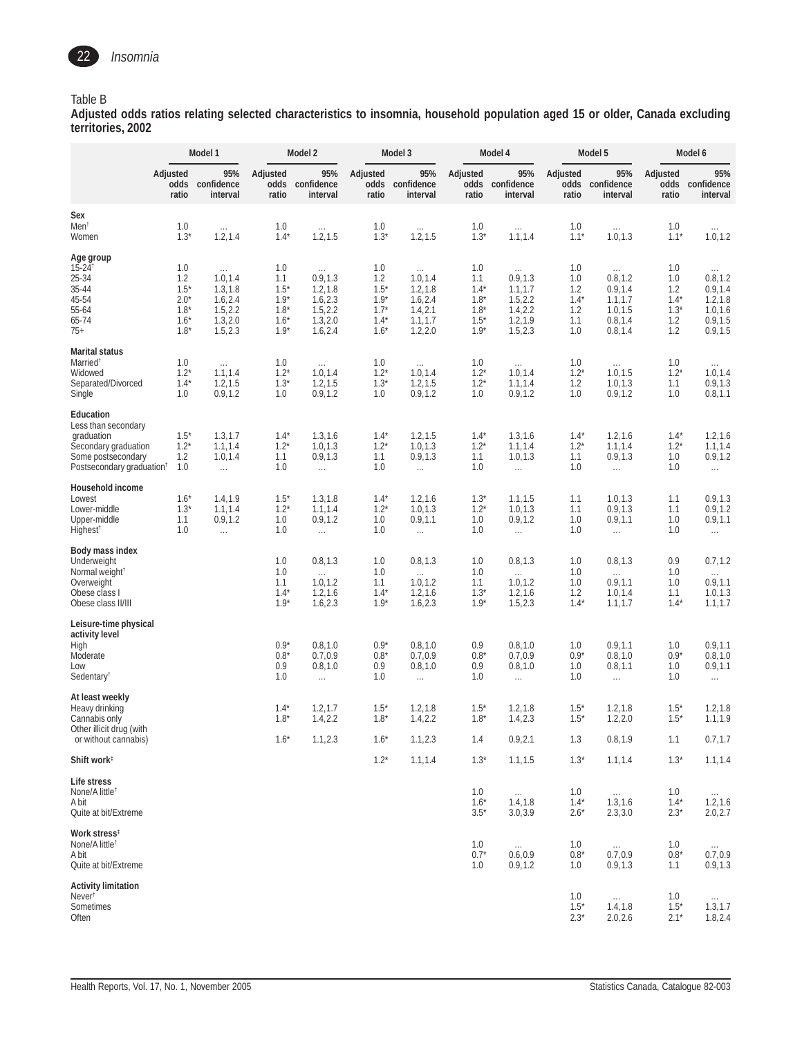

#### Table B

**Adjusted odds ratios relating selected characteristics to insomnia, household population aged 15 or older, Canada excluding territories, 2002**

|                                                                                                                                       |                                                              | Model 1                                                                          |                                                              | Model 2                                                                          |                                                              | Model 3                                                                               |                                                              | Model 4                                                                          |                                                  | Model 5                                                                            |                                                     | Model 6                                                                          |
|---------------------------------------------------------------------------------------------------------------------------------------|--------------------------------------------------------------|----------------------------------------------------------------------------------|--------------------------------------------------------------|----------------------------------------------------------------------------------|--------------------------------------------------------------|---------------------------------------------------------------------------------------|--------------------------------------------------------------|----------------------------------------------------------------------------------|--------------------------------------------------|------------------------------------------------------------------------------------|-----------------------------------------------------|----------------------------------------------------------------------------------|
|                                                                                                                                       | Adjusted<br>odds<br>ratio                                    | 95%<br>confidence<br>interval                                                    | Adjusted<br>ratio                                            | 95%<br>odds confidence<br>interval                                               | Adjusted<br>ratio                                            | 95%<br>odds confidence<br>interval                                                    | Adjusted<br>ratio                                            | 95%<br>odds confidence<br>interval                                               | Adjusted<br>ratio                                | 95%<br>odds confidence<br>interval                                                 | Adjusted<br>ratio                                   | 95%<br>odds confidence<br>interval                                               |
| Sex<br>Men <sup>t</sup><br>Women                                                                                                      | 1.0<br>$1.3*$                                                | $\sim$ $\sim$<br>1.2, 1.4                                                        | 1.0<br>$1.4*$                                                | $\sim$ $\sim$<br>1.2, 1.5                                                        | 1.0<br>$1.3*$                                                | $\ldots$<br>1.2, 1.5                                                                  | 1.0<br>$1.3*$                                                | $\ldots$<br>1.1, 1.4                                                             | 1.0<br>$1.1*$                                    | $\ldots$<br>1.0, 1.3                                                               | 1.0<br>$1.1*$                                       | $\ldots$<br>1.0, 1.2                                                             |
| Age group<br>$15 - 24$ <sup>†</sup><br>25-34<br>35-44<br>45-54<br>55-64<br>65-74<br>$75+$                                             | 1.0<br>1.2<br>$1.5*$<br>$2.0*$<br>$1.8*$<br>$1.6*$<br>$1.8*$ | $\sim$ .<br>1.0, 1.4<br>1.3, 1.8<br>1.6, 2.4<br>1.5, 2.2<br>1.3, 2.0<br>1.5, 2.3 | 1.0<br>1.1<br>$1.5*$<br>$1.9*$<br>$1.8*$<br>$1.6*$<br>$1.9*$ | $\cdots$<br>0.9, 1.3<br>1.2, 1.8<br>1.6, 2.3<br>1.5, 2.2<br>1.3, 2.0<br>1.6, 2.4 | 1.0<br>1.2<br>$1.5*$<br>$1.9*$<br>$1.7*$<br>$1.4*$<br>$1.6*$ | $\sim$ $\sim$<br>1.0, 1.4<br>1.2, 1.8<br>1.6, 2.4<br>1.4, 2.1<br>1.1, 1.7<br>1.2, 2.0 | 1.0<br>1.1<br>$1.4*$<br>$1.8*$<br>$1.8*$<br>$1.5*$<br>$1.9*$ | $\ldots$<br>0.9, 1.3<br>1.1, 1.7<br>1.5, 2.2<br>1.4, 2.2<br>1.2, 1.9<br>1.5, 2.3 | 1.0<br>1.0<br>1.2<br>$1.4*$<br>1.2<br>1.1<br>1.0 | $\ldots$ .<br>0.8, 1.2<br>0.9, 1.4<br>1.1, 1.7<br>1.0, 1.5<br>0.8, 1.4<br>0.8, 1.4 | 1.0<br>1.0<br>1.2<br>$1.4*$<br>$1.3*$<br>1.2<br>1.2 | $\ldots$<br>0.8, 1.2<br>0.9, 1.4<br>1.2, 1.8<br>1.0, 1.6<br>0.9, 1.5<br>0.9, 1.5 |
| <b>Marital status</b><br>Married <sup>®</sup><br>Widowed<br>Separated/Divorced<br>Single                                              | 1.0<br>$1.2*$<br>$1.4*$<br>1.0                               | $\ldots$<br>1.1, 1.4<br>1.2, 1.5<br>0.9, 1.2                                     | 1.0<br>$1.2*$<br>$1.3*$<br>1.0                               | $\sim$ $\sim$<br>1.0, 1.4<br>1.2, 1.5<br>0.9, 1.2                                | 1.0<br>$1.2*$<br>$1.3*$<br>1.0                               | $\sim$ $\sim$<br>1.0, 1.4<br>1.2, 1.5<br>0.9, 1.2                                     | 1.0<br>$1.2*$<br>$1.2*$<br>1.0                               | $\ldots$ .<br>1.0, 1.4<br>1.1, 1.4<br>0.9, 1.2                                   | 1.0<br>$1.2^*$<br>1.2<br>1.0                     | $\ldots$ .<br>1.0, 1.5<br>1.0, 1.3<br>0.9, 1.2                                     | 1.0<br>$1.2*$<br>1.1<br>1.0                         | $\ldots$<br>1.0, 1.4<br>0.9, 1.3<br>0.8, 1.1                                     |
| Education<br>Less than secondary<br>graduation<br>Secondary graduation<br>Some postsecondary<br>Postsecondary graduation <sup>†</sup> | $1.5*$<br>$1.2^*$<br>1.2<br>1.0                              | 1.3, 1.7<br>1.1, 1.4<br>1.0, 1.4<br>$\ldots$                                     | $1.4*$<br>$1.2^*$<br>1.1<br>1.0                              | 1.3, 1.6<br>1.0, 1.3<br>0.9, 1.3<br>$\ldots$                                     | $1.4*$<br>$1.2*$<br>1.1<br>1.0                               | 1.2, 1.5<br>1.0, 1.3<br>0.9, 1.3<br>$\ldots$                                          | $1.4*$<br>$1.2*$<br>1.1<br>1.0                               | 1.3, 1.6<br>1.1, 1.4<br>1.0, 1.3<br>$\ldots$                                     | $1.4*$<br>$1.2*$<br>1.1<br>1.0                   | 1.2, 1.6<br>1.1, 1.4<br>0.9, 1.3<br>$\ldots$                                       | $1.4*$<br>$1.2*$<br>1.0<br>1.0                      | 1.2, 1.6<br>1.1, 1.4<br>0.9, 1.2<br>$\ldots$                                     |
| Household income<br>Lowest<br>Lower-middle<br>Upper-middle<br>Highest <sup>t</sup>                                                    | $1.6*$<br>$1.3*$<br>1.1<br>1.0                               | 1.4,1.9<br>1.1, 1.4<br>0.9, 1.2<br>$\ldots$                                      | $1.5*$<br>$1.2*$<br>1.0<br>1.0                               | 1.3, 1.8<br>1.1, 1.4<br>0.9, 1.2<br>$\ldots$                                     | $1.4*$<br>$1.2*$<br>1.0<br>1.0                               | 1.2, 1.6<br>1.0, 1.3<br>0.9, 1.1<br>$\ldots$                                          | $1.3*$<br>$1.2*$<br>1.0<br>1.0                               | 1.1, 1.5<br>1.0, 1.3<br>0.9, 1.2<br>$\ldots$                                     | 1.1<br>1.1<br>1.0<br>1.0                         | 1.0, 1.3<br>0.9, 1.3<br>0.9, 1.1<br>$\ldots$                                       | 1.1<br>1.1<br>1.0<br>1.0                            | 0.9, 1.3<br>0.9, 1.2<br>0.9, 1.1<br>$\ldots$                                     |
| Body mass index<br>Underweight<br>Normal weight <sup>†</sup><br>Overweight<br>Obese class I<br>Obese class II/III                     |                                                              |                                                                                  | 1.0<br>1.0<br>1.1<br>$1.4*$<br>$1.9*$                        | 0.8, 1.3<br>$\sim$<br>1.0, 1.2<br>1.2, 1.6<br>1.6, 2.3                           | 1.0<br>1.0<br>1.1<br>$1.4*$<br>$1.9*$                        | 0.8, 1.3<br>$\sim$<br>1.0, 1.2<br>1.2, 1.6<br>1.6, 2.3                                | 1.0<br>1.0<br>1.1<br>$1.3*$<br>$1.9*$                        | 0.8, 1.3<br>$\sim$ .<br>1.0, 1.2<br>1.2, 1.6<br>1.5, 2.3                         | 1.0<br>1.0<br>1.0<br>1.2<br>$1.4*$               | 0.8, 1.3<br>$\sim$<br>0.9, 1.1<br>1.0, 1.4<br>1.1, 1.7                             | 0.9<br>1.0<br>1.0<br>1.1<br>$1.4*$                  | 0.7, 1.2<br>$\cdots$<br>0.9, 1.1<br>1.0, 1.3<br>1.1, 1.7                         |
| Leisure-time physical<br>activity level<br>High<br>Moderate<br>Low<br>Sedentary <sup>†</sup>                                          |                                                              |                                                                                  | $0.9*$<br>$0.8*$<br>0.9<br>1.0                               | 0.8, 1.0<br>0.7, 0.9<br>0.8, 1.0<br>$\ldots$                                     | $0.9*$<br>$0.8*$<br>0.9<br>1.0                               | 0.8, 1.0<br>0.7, 0.9<br>0.8, 1.0<br>$\ldots$                                          | 0.9<br>$0.8*$<br>0.9<br>1.0                                  | 0.8, 1.0<br>0.7, 0.9<br>0.8, 1.0<br>$\ldots$                                     | 1.0<br>$0.9*$<br>1.0<br>1.0                      | 0.9, 1.1<br>0.8, 1.0<br>0.8, 1.1<br>$\ldots$                                       | 1.0<br>$0.9*$<br>1.0<br>1.0                         | 0.9, 1.1<br>0.8, 1.0<br>0.9, 1.1<br>$\ldots$                                     |
| At least weekly<br>Heavy drinking<br>Cannabis only<br>Other illicit drug (with<br>or without cannabis)                                |                                                              |                                                                                  | $1.4*$<br>$1.8*$<br>$1.6*$                                   | 1.2, 1.7<br>1.4, 2.2<br>1.1, 2.3                                                 | $1.5^*$<br>$1.8*$<br>$1.6*$                                  | 1.2, 1.8<br>1.4, 2.2<br>1.1, 2.3                                                      | $1.5^*$<br>$1.8*$<br>1.4                                     | 1.2, 1.8<br>1.4, 2.3<br>0.9, 2.1                                                 | $1.5^*$<br>$1.5*$<br>1.3                         | 1.2, 1.8<br>1.2, 2.0<br>0.8, 1.9                                                   | $1.5^*$<br>$1.5*$<br>1.1                            | 1.2, 1.8<br>1.1, 1.9<br>0.7, 1.7                                                 |
| Shift work <sup>#</sup>                                                                                                               |                                                              |                                                                                  |                                                              |                                                                                  | $1.2*$                                                       | 1.1, 1.4                                                                              | $1.3*$                                                       | 1.1, 1.5                                                                         | $1.3*$                                           | 1.1, 1.4                                                                           | $1.3*$                                              | 1.1, 1.4                                                                         |
| Life stress<br>None/A little <sup>t</sup><br>A bit<br>Quite at bit/Extreme                                                            |                                                              |                                                                                  |                                                              |                                                                                  |                                                              |                                                                                       | 1.0<br>$1.6*$<br>$3.5*$                                      | $\sim$ $\sim$<br>1.4, 1.8<br>3.0, 3.9                                            | 1.0<br>$1.4*$<br>$2.6*$                          | $\sim$ $\sim$<br>1.3, 1.6<br>2.3, 3.0                                              | 1.0<br>$1.4*$<br>$2.3*$                             | $\sim$ .<br>1.2, 1.6<br>2.0, 2.7                                                 |
| Work stress <sup>#</sup><br>None/A little <sup>t</sup><br>A bit<br>Quite at bit/Extreme                                               |                                                              |                                                                                  |                                                              |                                                                                  |                                                              |                                                                                       | 1.0<br>$0.7*$<br>1.0                                         | $\sim$ $\sim$<br>0.6, 0.9<br>0.9, 1.2                                            | 1.0<br>$0.8*$<br>1.0                             | $\sim$ $\sim$<br>0.7, 0.9<br>0.9, 1.3                                              | 1.0<br>$0.8*$<br>1.1                                | $\sim$ .<br>0.7, 0.9<br>0.9, 1.3                                                 |
| <b>Activity limitation</b><br>Never <sup>t</sup><br>Sometimes<br>Often                                                                |                                                              |                                                                                  |                                                              |                                                                                  |                                                              |                                                                                       |                                                              |                                                                                  | 1.0<br>$1.5*$<br>$2.3*$                          | $\sim$ $\sim$<br>1.4, 1.8<br>2.0, 2.6                                              | 1.0<br>$1.5*$<br>$2.1*$                             | $\ldots$<br>1.3, 1.7<br>1.8, 2.4                                                 |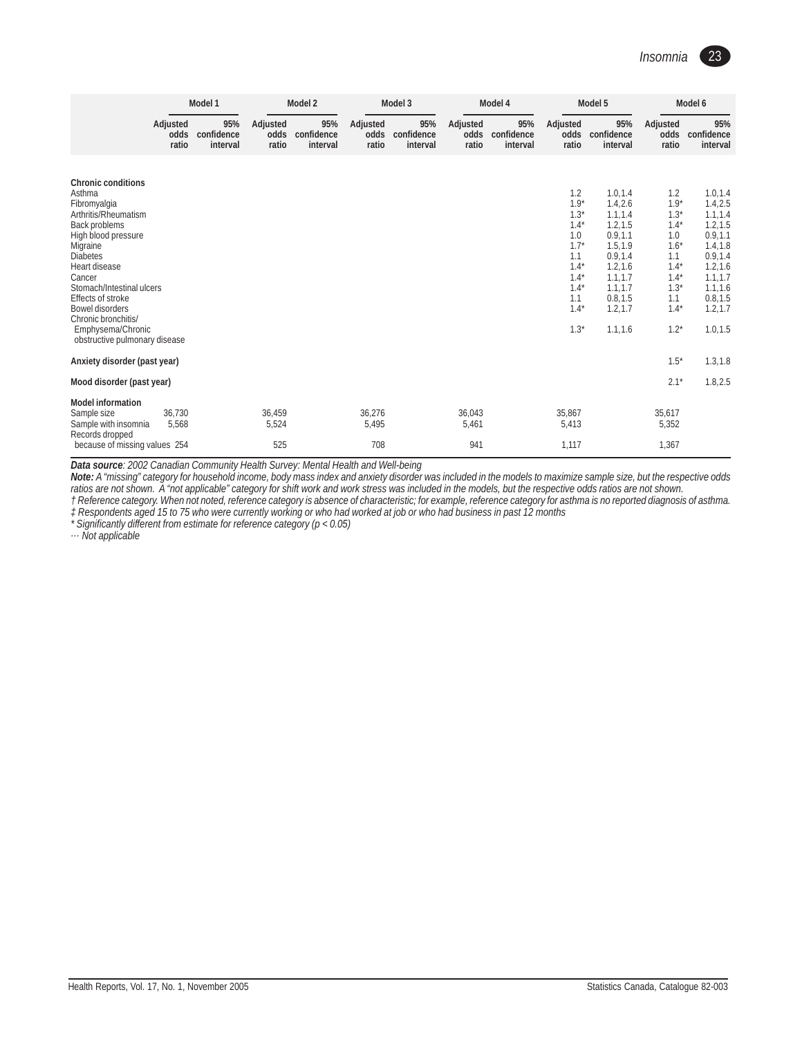

|                                                                                                                                                                                                                                                                                                                                 | Model 1                   |                               | Model 2                   |                               |                           | Model 3                       |                           | Model 4                       |                                                                                                                    | Model 5                                                                                                                                                 | Model 6                                                                                                            |                                                                                                                                                          |
|---------------------------------------------------------------------------------------------------------------------------------------------------------------------------------------------------------------------------------------------------------------------------------------------------------------------------------|---------------------------|-------------------------------|---------------------------|-------------------------------|---------------------------|-------------------------------|---------------------------|-------------------------------|--------------------------------------------------------------------------------------------------------------------|---------------------------------------------------------------------------------------------------------------------------------------------------------|--------------------------------------------------------------------------------------------------------------------|----------------------------------------------------------------------------------------------------------------------------------------------------------|
|                                                                                                                                                                                                                                                                                                                                 | Adjusted<br>odds<br>ratio | 95%<br>confidence<br>interval | Adjusted<br>odds<br>ratio | 95%<br>confidence<br>interval | Adjusted<br>odds<br>ratio | 95%<br>confidence<br>interval | Adjusted<br>odds<br>ratio | 95%<br>confidence<br>interval | Adjusted<br>odds<br>ratio                                                                                          | 95%<br>confidence<br>interval                                                                                                                           | Adjusted<br>odds<br>ratio                                                                                          | 95%<br>confidence<br>interval                                                                                                                            |
|                                                                                                                                                                                                                                                                                                                                 |                           |                               |                           |                               |                           |                               |                           |                               |                                                                                                                    |                                                                                                                                                         |                                                                                                                    |                                                                                                                                                          |
| <b>Chronic conditions</b><br>Asthma<br>Fibromyalgia<br>Arthritis/Rheumatism<br>Back problems<br>High blood pressure<br>Migraine<br><b>Diabetes</b><br>Heart disease<br>Cancer<br>Stomach/Intestinal ulcers<br>Effects of stroke<br>Bowel disorders<br>Chronic bronchitis/<br>Emphysema/Chronic<br>obstructive pulmonary disease |                           |                               |                           |                               |                           |                               |                           |                               | 1.2<br>$1.9*$<br>$1.3*$<br>$1.4*$<br>1.0<br>$1.7*$<br>1.1<br>$1.4*$<br>$1.4*$<br>$1.4*$<br>1.1<br>$1.4*$<br>$1.3*$ | 1.0, 1.4<br>1.4, 2.6<br>1.1, 1.4<br>1.2, 1.5<br>0.9, 1.1<br>1.5, 1.9<br>0.9, 1.4<br>1.2, 1.6<br>1.1.1.7<br>1.1, 1.7<br>0.8, 1.5<br>1.2, 1.7<br>1.1, 1.6 | 1.2<br>$1.9*$<br>$1.3*$<br>$1.4*$<br>1.0<br>$1.6*$<br>1.1<br>$1.4*$<br>$1.4*$<br>$1.3*$<br>1.1<br>$1.4*$<br>$1.2*$ | 1.0, 1.4<br>1.4, 2.5<br>1.1, 1.4<br>1.2, 1.5<br>0.9, 1.1<br>1.4, 1.8<br>0.9, 1.4<br>1.2, 1.6<br>1.1, 1.7<br>1.1, 1.6<br>0.8, 1.5<br>1.2, 1.7<br>1.0, 1.5 |
| Anxiety disorder (past year)                                                                                                                                                                                                                                                                                                    |                           |                               |                           |                               |                           |                               |                           |                               |                                                                                                                    |                                                                                                                                                         | $1.5*$                                                                                                             | 1.3, 1.8                                                                                                                                                 |
| Mood disorder (past year)                                                                                                                                                                                                                                                                                                       |                           |                               |                           |                               |                           |                               |                           |                               |                                                                                                                    |                                                                                                                                                         | $2.1*$                                                                                                             | 1.8, 2.5                                                                                                                                                 |
| <b>Model information</b><br>Sample size<br>Sample with insomnia<br>Records dropped<br>because of missing values 254                                                                                                                                                                                                             | 36,730<br>5,568           |                               | 36,459<br>5,524<br>525    |                               | 36,276<br>5,495<br>708    |                               | 36,043<br>5,461<br>941    |                               | 35,867<br>5,413<br>1,117                                                                                           |                                                                                                                                                         | 35,617<br>5,352<br>1,367                                                                                           |                                                                                                                                                          |

*Data source: 2002 Canadian Community Health Survey: Mental Health and Well-being*

*Note: A "missing" category for household income, body mass index and anxiety disorder was included in the models to maximize sample size, but the respective odds ratios are not shown. A "not applicable" category for shift work and work stress was included in the models, but the respective odds ratios are not shown. † Reference category. When not noted, reference category is absence of characteristic; for example, reference category for asthma is no reported diagnosis of asthma.*

*‡ Respondents aged 15 to 75 who were currently working or who had worked at job or who had business in past 12 months*

*\* Significantly different from estimate for reference category (p < 0.05)*

*… Not applicable*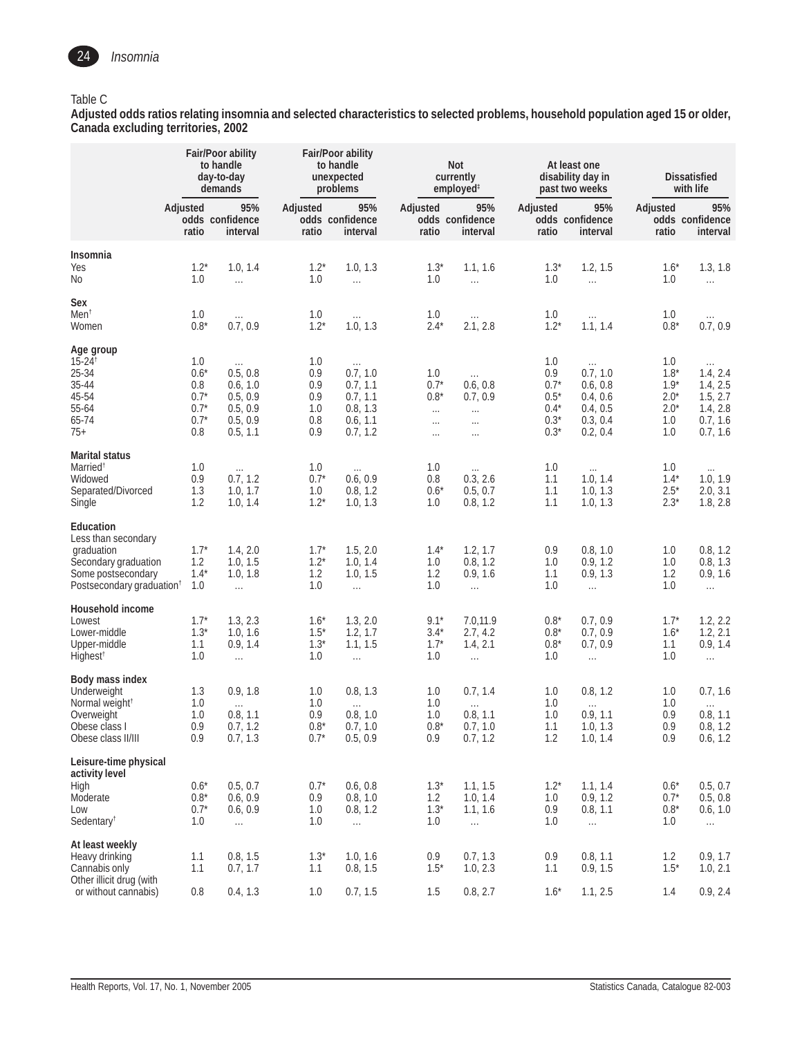

#### Table C

**Adjusted odds ratios relating insomnia and selected characteristics to selected problems, household population aged 15 or older, Canada excluding territories, 2002**

|                                                                                                                                              |                                                           | <b>Fair/Poor ability</b><br>to handle<br>day-to-day<br>demands                  |                                               | Fair/Poor ability<br>to handle<br>unexpected<br>problems                         |                                                             | Not<br>currently<br>employed <sup>#</sup>                            |                                                              | At least one<br>disability day in<br>past two weeks                              |                                                           | Dissatisfied<br>with life                                                        |
|----------------------------------------------------------------------------------------------------------------------------------------------|-----------------------------------------------------------|---------------------------------------------------------------------------------|-----------------------------------------------|----------------------------------------------------------------------------------|-------------------------------------------------------------|----------------------------------------------------------------------|--------------------------------------------------------------|----------------------------------------------------------------------------------|-----------------------------------------------------------|----------------------------------------------------------------------------------|
|                                                                                                                                              | Adjusted<br>ratio                                         | 95%<br>odds confidence<br>interval                                              | Adjusted<br>ratio                             | 95%<br>odds confidence<br>interval                                               | Adjusted<br>ratio                                           | 95%<br>odds confidence<br>interval                                   | Adjusted<br>ratio                                            | 95%<br>odds confidence<br>interval                                               | Adjusted<br>ratio                                         | 95%<br>odds confidence<br>interval                                               |
| Insomnia<br>Yes<br>No                                                                                                                        | $1.2*$<br>1.0                                             | 1.0, 1.4<br>$\ldots$                                                            | $1.2*$<br>1.0                                 | 1.0, 1.3<br>$\ldots$                                                             | $1.3*$<br>1.0                                               | 1.1, 1.6<br>$\ldots$                                                 | $1.3*$<br>1.0                                                | 1.2, 1.5<br>$\ldots$                                                             | $1.6*$<br>1.0                                             | 1.3, 1.8<br>$\ldots$                                                             |
| Sex<br>Men <sup>†</sup><br>Women                                                                                                             | 1.0<br>$0.8*$                                             | $\dots$<br>0.7, 0.9                                                             | 1.0<br>$1.2*$                                 | $\ldots$<br>1.0, 1.3                                                             | 1.0<br>$2.4*$                                               | $\cdots$<br>2.1, 2.8                                                 | 1.0<br>$1.2*$                                                | $\cdots$<br>1.1, 1.4                                                             | 1.0<br>$0.8*$                                             | 0.7, 0.9                                                                         |
| Age group<br>$15 - 24$ <sup>†</sup><br>25-34<br>35-44<br>45-54<br>55-64<br>65-74<br>$75+$                                                    | 1.0<br>$0.6*$<br>0.8<br>$0.7*$<br>$0.7*$<br>$0.7*$<br>0.8 | $\dots$<br>0.5, 0.8<br>0.6, 1.0<br>0.5, 0.9<br>0.5, 0.9<br>0.5, 0.9<br>0.5, 1.1 | 1.0<br>0.9<br>0.9<br>0.9<br>1.0<br>0.8<br>0.9 | $\ldots$<br>0.7, 1.0<br>0.7, 1.1<br>0.7, 1.1<br>0.8, 1.3<br>0.6, 1.1<br>0.7, 1.2 | 1.0<br>$0.7*$<br>$0.8*$<br>$\cdots$<br>$\cdots$<br>$\cdots$ | $\ldots$<br>0.6, 0.8<br>0.7, 0.9<br>$\cdots$<br>$\ldots$<br>$\cdots$ | 1.0<br>0.9<br>$0.7*$<br>$0.5*$<br>$0.4*$<br>$0.3*$<br>$0.3*$ | $\ldots$<br>0.7, 1.0<br>0.6, 0.8<br>0.4, 0.6<br>0.4, 0.5<br>0.3, 0.4<br>0.2, 0.4 | 1.0<br>$1.8*$<br>$1.9*$<br>$2.0*$<br>$2.0*$<br>1.0<br>1.0 | $\cdots$<br>1.4, 2.4<br>1.4, 2.5<br>1.5, 2.7<br>1.4, 2.8<br>0.7, 1.6<br>0.7, 1.6 |
| <b>Marital status</b><br>Married <sup>t</sup><br>Widowed<br>Separated/Divorced<br>Single                                                     | 1.0<br>0.9<br>1.3<br>1.2                                  | $\ldots$<br>0.7, 1.2<br>1.0, 1.7<br>1.0, 1.4                                    | 1.0<br>$0.7*$<br>1.0<br>$1.2*$                | $\ldots$<br>0.6, 0.9<br>0.8, 1.2<br>1.0, 1.3                                     | 1.0<br>0.8<br>$0.6*$<br>1.0                                 | $\ldots$<br>0.3, 2.6<br>0.5, 0.7<br>0.8, 1.2                         | 1.0<br>1.1<br>1.1<br>1.1                                     | $\dots$<br>1.0, 1.4<br>1.0, 1.3<br>1.0, 1.3                                      | 1.0<br>$1.4*$<br>$2.5^*$<br>$2.3*$                        | $\dots$<br>1.0, 1.9<br>2.0, 3.1<br>1.8, 2.8                                      |
| <b>Education</b><br>Less than secondary<br>graduation<br>Secondary graduation<br>Some postsecondary<br>Postsecondary graduation <sup>+</sup> | $1.7*$<br>1.2<br>$1.4*$<br>1.0                            | 1.4, 2.0<br>1.0, 1.5<br>1.0, 1.8<br>$\ldots$                                    | $1.7*$<br>$1.2*$<br>1.2<br>1.0                | 1.5, 2.0<br>1.0, 1.4<br>1.0, 1.5<br>$\cdots$                                     | $1.4*$<br>1.0<br>1.2<br>1.0                                 | 1.2, 1.7<br>0.8, 1.2<br>0.9, 1.6<br>$\ldots$                         | 0.9<br>1.0<br>1.1<br>1.0                                     | 0.8, 1.0<br>0.9, 1.2<br>0.9, 1.3<br>$\ldots$                                     | 1.0<br>1.0<br>1.2<br>1.0                                  | 0.8, 1.2<br>0.8, 1.3<br>0.9, 1.6<br>$\ldots$                                     |
| Household income<br>Lowest<br>Lower-middle<br>Upper-middle<br>Highest <sup>t</sup>                                                           | $1.7*$<br>$1.3*$<br>1.1<br>1.0                            | 1.3, 2.3<br>1.0, 1.6<br>0.9, 1.4<br>$\ldots$                                    | $1.6*$<br>$1.5*$<br>$1.3*$<br>1.0             | 1.3, 2.0<br>1.2, 1.7<br>1.1, 1.5<br>$\cdots$                                     | $9.1*$<br>$3.4*$<br>$1.7*$<br>1.0                           | 7.0,11.9<br>2.7, 4.2<br>1.4, 2.1<br>$\ldots$                         | $0.8*$<br>$0.8*$<br>$0.8*$<br>1.0                            | 0.7, 0.9<br>0.7, 0.9<br>0.7, 0.9<br>$\ldots$                                     | $1.7^*$<br>$1.6*$<br>1.1<br>1.0                           | 1.2, 2.2<br>1.2, 2.1<br>0.9, 1.4<br>$\ldots$                                     |
| Body mass index<br>Underweight<br>Normal weight <sup>†</sup><br>Overweight<br>Obese class I<br>Obese class II/III                            | 1.3<br>1.0<br>1.0<br>0.9<br>$0.9$                         | 0.9, 1.8<br>$\ldots$<br>0.8, 1.1<br>0.7, 1.2<br>0.7, 1.3                        | 1.0<br>1.0<br>0.9<br>$0.8*$<br>$0.7*$         | 0.8, 1.3<br>$\ldots$<br>0.8, 1.0<br>0.7, 1.0<br>0.5, 0.9                         | 1.0<br>1.0<br>1.0<br>$0.8*$<br>0.9                          | 0.7, 1.4<br>$\ldots$<br>0.8, 1.1<br>0.7, 1.0<br>0.7, 1.2             | 1.0<br>1.0<br>1.0<br>1.1<br>1.2                              | 0.8, 1.2<br>$\ldots$<br>0.9, 1.1<br>1.0, 1.3<br>1.0, 1.4                         | 1.0<br>1.0<br>0.9<br>0.9<br>0.9                           | 0.7, 1.6<br>$\ldots$<br>0.8, 1.1<br>0.8, 1.2<br>0.6, 1.2                         |
| Leisure-time physical<br>activity level<br>High<br>Moderate<br>Low<br>Sedentary <sup>t</sup>                                                 | $0.6*$<br>$0.8^{\star}$<br>$0.7*$<br>1.0                  | 0.5, 0.7<br>0.6, 0.9<br>0.6, 0.9<br>$\ldots$                                    | $0.7*$<br>0.9<br>1.0<br>1.0                   | 0.6, 0.8<br>0.8, 1.0<br>0.8, 1.2<br>$\ldots$                                     | $1.3*$<br>1.2<br>$1.3*$<br>1.0                              | 1.1, 1.5<br>1.0, 1.4<br>1.1, 1.6<br>$\ldots$                         | $1.2*$<br>1.0<br>0.9<br>1.0                                  | 1.1, 1.4<br>0.9, 1.2<br>0.8, 1.1<br>$\ldots$                                     | $0.6*$<br>$0.7*$<br>$0.8*$<br>1.0                         | 0.5, 0.7<br>0.5, 0.8<br>0.6, 1.0<br>$\ldots$                                     |
| At least weekly<br>Heavy drinking<br>Cannabis only<br>Other illicit drug (with<br>or without cannabis)                                       | 1.1<br>1.1<br>0.8                                         | 0.8, 1.5<br>0.7, 1.7<br>0.4, 1.3                                                | $1.3*$<br>1.1<br>1.0                          | 1.0, 1.6<br>0.8, 1.5<br>0.7, 1.5                                                 | 0.9<br>$1.5^*$<br>1.5                                       | 0.7, 1.3<br>1.0, 2.3<br>0.8, 2.7                                     | 0.9<br>1.1<br>$1.6*$                                         | 0.8, 1.1<br>0.9, 1.5<br>1.1, 2.5                                                 | 1.2<br>$1.5*$<br>1.4                                      | 0.9, 1.7<br>1.0, 2.1<br>0.9, 2.4                                                 |